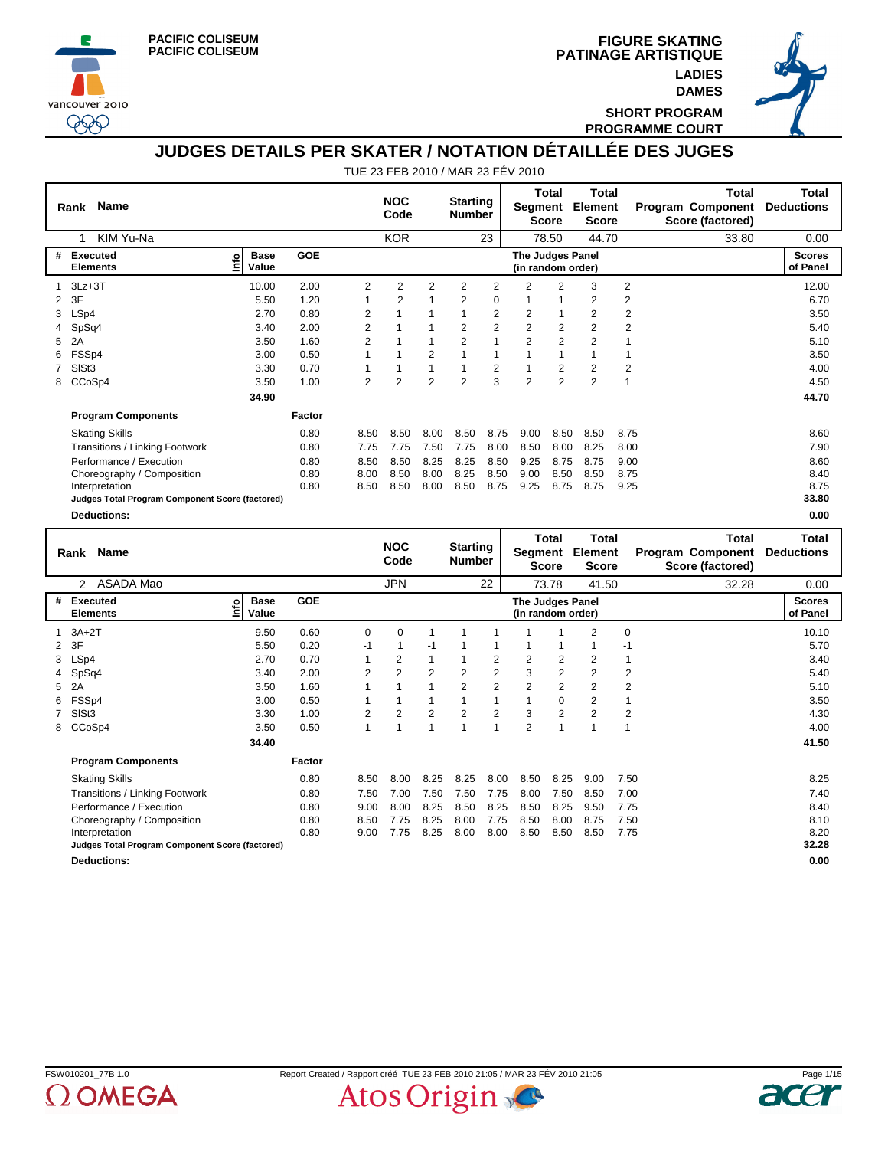





**SHORT PROGRAM PROGRAMME COURT**

# **JUDGES DETAILS PER SKATER / NOTATION DÉTAILLÉE DES JUGES**

|                | <b>Name</b><br>Rank                             |                                     |        |                | <b>NOC</b><br>Code |                | <b>Starting</b><br><b>Number</b> |                | Segment                               | Total<br><b>Score</b> | Total<br>Element<br><b>Score</b>        |                | Total<br><b>Program Component</b><br>Score (factored) | Total<br><b>Deductions</b> |
|----------------|-------------------------------------------------|-------------------------------------|--------|----------------|--------------------|----------------|----------------------------------|----------------|---------------------------------------|-----------------------|-----------------------------------------|----------------|-------------------------------------------------------|----------------------------|
|                | KIM Yu-Na<br>1                                  |                                     |        |                | <b>KOR</b>         |                |                                  | 23             |                                       | 78.50                 | 44.70                                   |                | 33.80                                                 | 0.00                       |
| #              | <b>Executed</b><br><b>Elements</b>              | <b>Base</b><br><u>lnfo</u><br>Value | GOE    |                |                    |                |                                  |                | The Judges Panel<br>(in random order) |                       |                                         |                |                                                       | <b>Scores</b><br>of Panel  |
|                | $3Lz + 3T$                                      | 10.00                               | 2.00   | $\overline{2}$ | 2                  | $\overline{2}$ | 2                                | $\overline{2}$ | 2                                     | $\overline{2}$        | 3                                       | $\overline{2}$ |                                                       | 12.00                      |
| $\overline{2}$ | 3F                                              | 5.50                                | 1.20   | 1              | $\overline{2}$     | $\mathbf{1}$   | 2                                | 0              | 1                                     | 1                     | $\overline{2}$                          | 2              |                                                       | 6.70                       |
| 3              | LSp4                                            | 2.70                                | 0.80   | $\overline{2}$ |                    |                | 1                                | $\overline{2}$ | $\overline{2}$                        | $\mathbf{1}$          | $\overline{2}$                          | 2              |                                                       | 3.50                       |
|                | SpSq4                                           | 3.40                                | 2.00   | $\overline{2}$ |                    |                | 2                                | $\overline{2}$ | $\overline{2}$                        | 2                     | $\overline{2}$                          | $\overline{2}$ |                                                       | 5.40                       |
| 5              | 2A                                              | 3.50                                | 1.60   | $\overline{2}$ |                    |                | $\overline{2}$                   | 1              | $\overline{2}$                        | $\overline{2}$        | $\overline{2}$                          |                |                                                       | 5.10                       |
| 6              | FSSp4                                           | 3.00                                | 0.50   | 1              |                    | $\overline{2}$ |                                  | $\mathbf{1}$   |                                       | $\mathbf{1}$          |                                         |                |                                                       | 3.50                       |
|                | SIS <sub>t3</sub>                               | 3.30                                | 0.70   |                |                    | 1              |                                  | $\overline{c}$ |                                       | 2                     | $\overline{2}$                          | 2              |                                                       | 4.00                       |
| 8              | CCoSp4                                          | 3.50                                | 1.00   | $\overline{2}$ | 2                  | $\overline{2}$ | $\overline{2}$                   | 3              | $\overline{2}$                        | $\overline{2}$        | $\overline{2}$                          | 1              |                                                       | 4.50                       |
|                |                                                 | 34.90                               |        |                |                    |                |                                  |                |                                       |                       |                                         |                |                                                       | 44.70                      |
|                | <b>Program Components</b>                       |                                     | Factor |                |                    |                |                                  |                |                                       |                       |                                         |                |                                                       |                            |
|                | <b>Skating Skills</b>                           |                                     | 0.80   | 8.50           | 8.50               | 8.00           | 8.50                             | 8.75           | 9.00                                  | 8.50                  | 8.50                                    | 8.75           |                                                       | 8.60                       |
|                | Transitions / Linking Footwork                  |                                     | 0.80   | 7.75           | 7.75               | 7.50           | 7.75                             | 8.00           | 8.50                                  | 8.00                  | 8.25                                    | 8.00           |                                                       | 7.90                       |
|                | Performance / Execution                         |                                     | 0.80   | 8.50           | 8.50               | 8.25           | 8.25                             | 8.50           | 9.25                                  | 8.75                  | 8.75                                    | 9.00           |                                                       | 8.60                       |
|                | Choreography / Composition                      |                                     | 0.80   | 8.00           | 8.50               | 8.00           | 8.25                             | 8.50           | 9.00                                  | 8.50                  | 8.50                                    | 8.75           |                                                       | 8.40                       |
|                | Interpretation                                  |                                     | 0.80   | 8.50           | 8.50               | 8.00           | 8.50                             | 8.75           | 9.25                                  | 8.75                  | 8.75                                    | 9.25           |                                                       | 8.75                       |
|                | Judges Total Program Component Score (factored) |                                     |        |                |                    |                |                                  |                |                                       |                       |                                         |                |                                                       | 33.80                      |
|                | <b>Deductions:</b>                              |                                     |        |                |                    |                |                                  |                |                                       |                       |                                         |                |                                                       | 0.00                       |
|                | Rank Name                                       |                                     |        |                | <b>NOC</b><br>Code |                | <b>Starting</b><br><b>Number</b> |                | Segment                               | Total<br><b>Score</b> | <b>Total</b><br>Element<br><b>Score</b> |                | <b>Total</b><br>Program Component<br>Score (factored) | Total<br><b>Deductions</b> |
|                | 2<br>ASADA Mao                                  |                                     |        |                | <b>JPN</b>         |                |                                  | 22             |                                       | 73.78                 | 41.50                                   |                | 32.28                                                 | 0.00                       |

|             | 2 ASADA Mao                                     |                             |            |      | JPN      |                |                | 22             |                                       | 73.78          | 41.50          |                | 32.28 | 0.00                      |
|-------------|-------------------------------------------------|-----------------------------|------------|------|----------|----------------|----------------|----------------|---------------------------------------|----------------|----------------|----------------|-------|---------------------------|
| #           | Executed<br><b>Elements</b>                     | <b>Base</b><br>nfo<br>Value | <b>GOE</b> |      |          |                |                |                | The Judges Panel<br>(in random order) |                |                |                |       | <b>Scores</b><br>of Panel |
|             | $1$ $3A+2T$                                     | 9.50                        | 0.60       | 0    | $\Omega$ |                |                |                |                                       |                | 2              | 0              |       | 10.10                     |
|             | 2 3F                                            | 5.50                        | 0.20       | $-1$ |          | -1             |                |                |                                       |                |                | -1             |       | 5.70                      |
|             | 3 LSp4                                          | 2.70                        | 0.70       |      | 2        | 1              |                | 2              | 2                                     | 2              | 2              | 1              |       | 3.40                      |
|             | 4 SpSq4                                         | 3.40                        | 2.00       | 2    | 2        | $\overline{2}$ | $\overline{2}$ | $\overline{2}$ | 3                                     | 2              | 2              | $\overline{2}$ |       | 5.40                      |
|             | 5 2A                                            | 3.50                        | 1.60       |      |          | 1              | $\overline{2}$ | $\overline{2}$ | $\overline{2}$                        | 2              | 2              | 2              |       | 5.10                      |
| 6           | FSSp4                                           | 3.00                        | 0.50       |      |          | 1              |                |                |                                       | 0              | 2              | 1              |       | 3.50                      |
| $7^{\circ}$ | SISt3                                           | 3.30                        | 1.00       | 2    | 2        | 2              | $\overline{2}$ | $\overline{2}$ | 3                                     | $\overline{2}$ | $\overline{2}$ | $\overline{2}$ |       | 4.30                      |
| 8           | CCoSp4                                          | 3.50                        | 0.50       |      |          | $\overline{ }$ | 1              |                | $\overline{2}$                        |                |                |                |       | 4.00                      |
|             |                                                 | 34.40                       |            |      |          |                |                |                |                                       |                |                |                |       | 41.50                     |
|             | <b>Program Components</b>                       |                             | Factor     |      |          |                |                |                |                                       |                |                |                |       |                           |
|             | <b>Skating Skills</b>                           |                             | 0.80       | 8.50 | 8.00     | 8.25           | 8.25           | 8.00           | 8.50                                  | 8.25           | 9.00           | 7.50           |       | 8.25                      |
|             | Transitions / Linking Footwork                  |                             | 0.80       | 7.50 | 7.00     | 7.50           | 7.50           | 7.75           | 8.00                                  | 7.50           | 8.50           | 7.00           |       | 7.40                      |
|             | Performance / Execution                         |                             | 0.80       | 9.00 | 8.00     | 8.25           | 8.50           | 8.25           | 8.50                                  | 8.25           | 9.50           | 7.75           |       | 8.40                      |
|             | Choreography / Composition                      |                             | 0.80       | 8.50 | 7.75     | 8.25           | 8.00           | 7.75           | 8.50                                  | 8.00           | 8.75           | 7.50           |       | 8.10                      |
|             | Interpretation                                  |                             | 0.80       | 9.00 | 7.75     | 8.25           | 8.00           | 8.00           | 8.50                                  | 8.50           | 8.50           | 7.75           |       | 8.20                      |
|             | Judges Total Program Component Score (factored) |                             |            |      |          |                |                |                |                                       |                |                |                |       | 32.28                     |
|             | <b>Deductions:</b>                              |                             |            |      |          |                |                |                |                                       |                |                |                |       | 0.00                      |



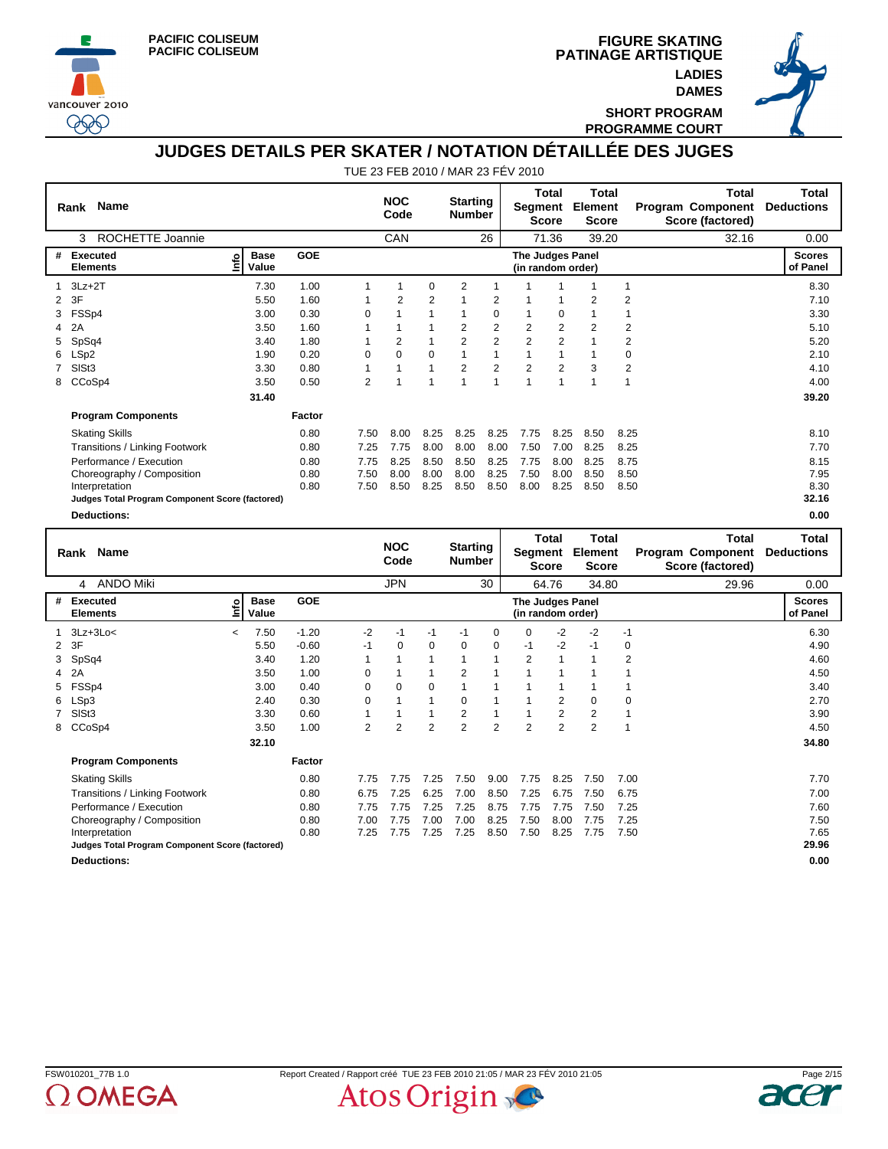





**SHORT PROGRAM PROGRAMME COURT**

## **JUDGES DETAILS PER SKATER / NOTATION DÉTAILLÉE DES JUGES**

|   | <b>Name</b><br>Rank                             |                      |            |                    | <b>NOC</b><br>Code |                                  | <b>Starting</b><br><b>Number</b> |                | Segment                               | Total<br><b>Score</b>                       | <b>Total</b><br>Element<br><b>Score</b> |                                                       | <b>Total</b><br><b>Program Component</b><br>Score (factored) | Total<br><b>Deductions</b> |
|---|-------------------------------------------------|----------------------|------------|--------------------|--------------------|----------------------------------|----------------------------------|----------------|---------------------------------------|---------------------------------------------|-----------------------------------------|-------------------------------------------------------|--------------------------------------------------------------|----------------------------|
|   | ROCHETTE Joannie<br>3                           |                      |            |                    | CAN                |                                  |                                  | 26             |                                       | 71.36                                       | 39.20                                   |                                                       | 32.16                                                        | 0.00                       |
| # | <b>Executed</b><br>۴ů<br><b>Elements</b>        | <b>Base</b><br>Value | <b>GOE</b> |                    |                    |                                  |                                  |                | The Judges Panel<br>(in random order) |                                             |                                         |                                                       |                                                              | <b>Scores</b><br>of Panel  |
|   | $3Lz + 2T$                                      | 7.30                 | 1.00       |                    |                    | 0                                | 2                                |                |                                       |                                             |                                         | $\overline{1}$                                        |                                                              | 8.30                       |
| 2 | 3F                                              | 5.50                 | 1.60       |                    | 2                  | 2                                |                                  | 2              |                                       | 1                                           | 2                                       | $\overline{2}$                                        |                                                              | 7.10                       |
| 3 | FSSp4                                           | 3.00                 | 0.30       | 0                  |                    |                                  |                                  | $\Omega$       |                                       | $\mathbf 0$                                 |                                         | 1                                                     |                                                              | 3.30                       |
| 4 | 2A                                              | 3.50                 | 1.60       |                    |                    |                                  | 2                                | $\overline{c}$ | 2                                     | 2                                           | $\overline{2}$                          | 2                                                     |                                                              | 5.10                       |
| 5 | SpSq4                                           | 3.40                 | 1.80       |                    | 2                  |                                  | 2                                | $\overline{2}$ | $\overline{2}$                        | $\overline{2}$                              |                                         | 2                                                     |                                                              | 5.20                       |
| 6 | LSp2                                            | 1.90                 | 0.20       | 0                  | $\Omega$           | $\Omega$                         |                                  | 1              |                                       | 1                                           |                                         | 0                                                     |                                                              | 2.10                       |
|   | SISt3                                           | 3.30                 | 0.80       |                    |                    |                                  | 2                                | $\overline{2}$ | $\overline{2}$                        | $\overline{2}$                              | 3                                       | 2                                                     |                                                              | 4.10                       |
| 8 | CCoSp4                                          | 3.50                 | 0.50       | 2                  |                    |                                  |                                  | 1              | 1                                     | 1                                           | 1                                       | $\overline{1}$                                        |                                                              | 4.00                       |
|   |                                                 | 31.40                |            |                    |                    |                                  |                                  |                |                                       |                                             |                                         |                                                       |                                                              | 39.20                      |
|   | <b>Program Components</b>                       |                      | Factor     |                    |                    |                                  |                                  |                |                                       |                                             |                                         |                                                       |                                                              |                            |
|   | <b>Skating Skills</b>                           |                      | 0.80       | 7.50               | 8.00               | 8.25                             | 8.25                             | 8.25           | 7.75                                  | 8.25                                        | 8.50                                    | 8.25                                                  |                                                              | 8.10                       |
|   | Transitions / Linking Footwork                  |                      | 0.80       | 7.25               | 7.75               | 8.00                             | 8.00                             | 8.00           | 7.50                                  | 7.00                                        | 8.25                                    | 8.25                                                  |                                                              | 7.70                       |
|   | Performance / Execution                         |                      | 0.80       | 7.75               | 8.25               | 8.50                             | 8.50                             | 8.25           | 7.75                                  | 8.00                                        | 8.25                                    | 8.75                                                  |                                                              | 8.15                       |
|   | Choreography / Composition                      |                      | 0.80       | 7.50               | 8.00               | 8.00                             | 8.00                             | 8.25           | 7.50                                  | 8.00                                        | 8.50                                    | 8.50                                                  |                                                              | 7.95                       |
|   | Interpretation                                  |                      | 0.80       | 7.50               | 8.50               | 8.25                             | 8.50                             | 8.50           | 8.00                                  | 8.25                                        | 8.50                                    | 8.50                                                  |                                                              | 8.30                       |
|   | Judges Total Program Component Score (factored) |                      |            |                    |                    |                                  |                                  |                |                                       |                                             |                                         |                                                       |                                                              | 32.16                      |
|   | <b>Deductions:</b>                              |                      |            |                    |                    |                                  |                                  |                |                                       |                                             |                                         |                                                       |                                                              | 0.00                       |
|   | <b>Name</b><br>Rank                             |                      |            | <b>NOC</b><br>Code |                    | <b>Starting</b><br><b>Number</b> |                                  | Segment        | Total<br>S <sub>0</sub>               | <b>Total</b><br>Element<br>$S_{\text{max}}$ |                                         | <b>Total</b><br>Program Component<br>Score (footorod) | Total<br><b>Deductions</b>                                   |                            |

|                |                                                 |                                  |            |          | <b>COUR</b> |                | <b>NUTTIVEL</b> |                |                                       | <b>Score</b>   | <b>Score</b> |             | Score (factored) |                           |
|----------------|-------------------------------------------------|----------------------------------|------------|----------|-------------|----------------|-----------------|----------------|---------------------------------------|----------------|--------------|-------------|------------------|---------------------------|
|                | <b>ANDO Miki</b><br>4                           |                                  |            |          | <b>JPN</b>  |                |                 | 30             |                                       | 64.76          | 34.80        |             | 29.96            | 0.00                      |
| #              | <b>Executed</b><br><b>Elements</b>              | <b>Base</b><br>۰<br>Value        | <b>GOE</b> |          |             |                |                 |                | The Judges Panel<br>(in random order) |                |              |             |                  | <b>Scores</b><br>of Panel |
|                | $3Lz + 3Lo<$                                    | 7.50<br>$\overline{\phantom{0}}$ | $-1.20$    | $-2$     | $-1$        | -1             | $-1$            | 0              | $\mathbf 0$                           | $-2$           | $-2$         | $-1$        |                  | 6.30                      |
| $\overline{2}$ | 3F                                              | 5.50                             | $-0.60$    | $-1$     | $\Omega$    | 0              | $\Omega$        | 0              | $-1$                                  | $-2$           | $-1$         | 0           |                  | 4.90                      |
| 3              | SpSq4                                           | 3.40                             | 1.20       |          |             |                |                 | 1              | $\overline{2}$                        |                |              | 2           |                  | 4.60                      |
|                | 2A                                              | 3.50                             | 1.00       | 0        |             |                | 2               |                |                                       |                |              |             |                  | 4.50                      |
| 5              | FSSp4                                           | 3.00                             | 0.40       | 0        | 0           | $\Omega$       |                 |                |                                       |                |              |             |                  | 3.40                      |
| 6              | LSp3                                            | 2.40                             | 0.30       | $\Omega$ |             |                | $\Omega$        |                |                                       | 2              | $\Omega$     | $\mathbf 0$ |                  | 2.70                      |
|                | SISt <sub>3</sub>                               | 3.30                             | 0.60       |          |             |                | 2               |                |                                       | $\overline{2}$ | 2            | 1           |                  | 3.90                      |
| 8              | CCoSp4                                          | 3.50                             | 1.00       | 2        | 2           | $\overline{2}$ | 2               | $\overline{2}$ | $\overline{2}$                        | $\overline{2}$ | 2            |             |                  | 4.50                      |
|                |                                                 | 32.10                            |            |          |             |                |                 |                |                                       |                |              |             |                  | 34.80                     |
|                | <b>Program Components</b>                       |                                  | Factor     |          |             |                |                 |                |                                       |                |              |             |                  |                           |
|                | <b>Skating Skills</b>                           |                                  | 0.80       | 7.75     | 7.75        | 7.25           | 7.50            | 9.00           | 7.75                                  | 8.25           | 7.50         | 7.00        |                  | 7.70                      |
|                | <b>Transitions / Linking Footwork</b>           |                                  | 0.80       | 6.75     | 7.25        | 6.25           | 7.00            | 8.50           | 7.25                                  | 6.75           | 7.50         | 6.75        |                  | 7.00                      |
|                | Performance / Execution                         |                                  | 0.80       | 7.75     | 7.75        | 7.25           | 7.25            | 8.75           | 7.75                                  | 7.75           | 7.50         | 7.25        |                  | 7.60                      |
|                | Choreography / Composition                      |                                  | 0.80       | 7.00     | 7.75        | 7.00           | 7.00            | 8.25           | 7.50                                  | 8.00           | 7.75         | 7.25        |                  | 7.50                      |
|                | Interpretation                                  |                                  | 0.80       | 7.25     | 7.75        | 7.25           | 7.25            | 8.50           | 7.50                                  | 8.25           | 7.75         | 7.50        |                  | 7.65                      |
|                | Judges Total Program Component Score (factored) |                                  |            |          |             |                |                 |                |                                       |                |              |             |                  | 29.96                     |
|                | <b>Deductions:</b>                              |                                  |            |          |             |                |                 |                |                                       |                |              |             |                  | 0.00                      |



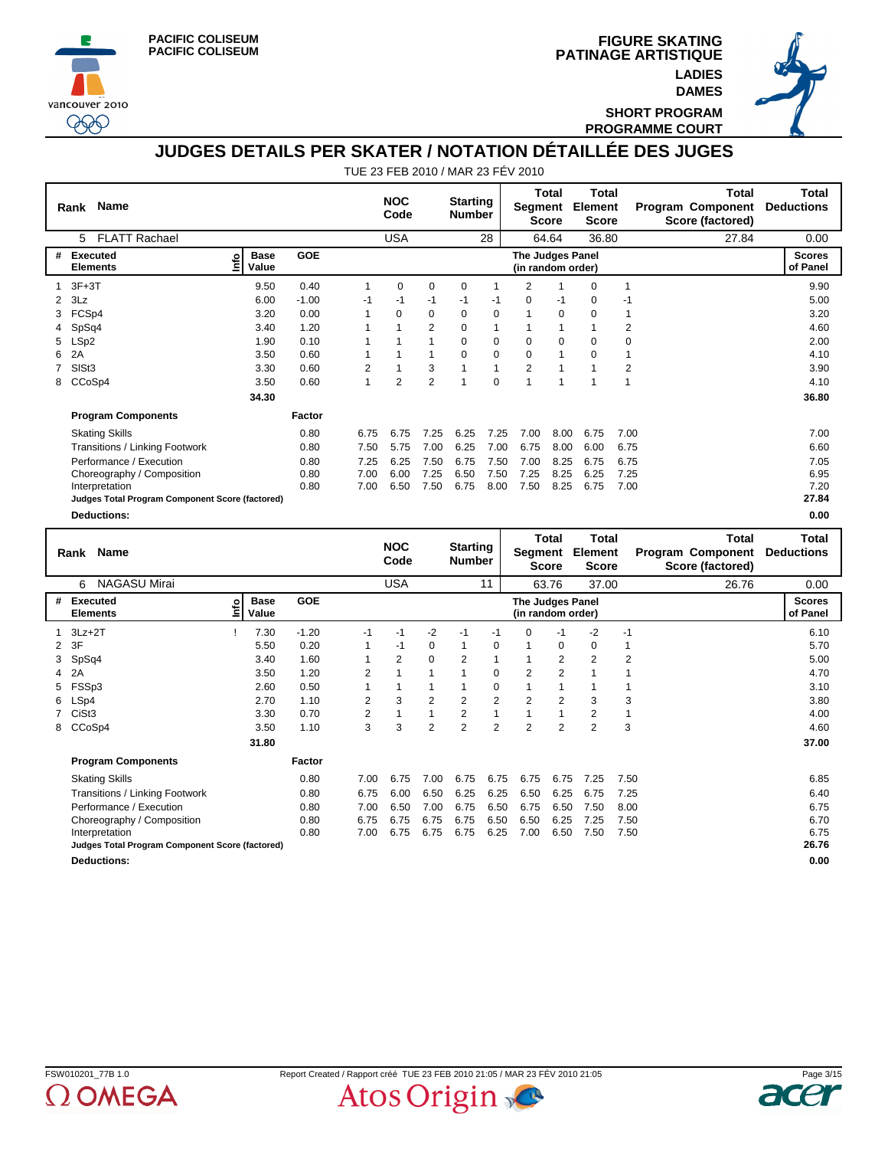





**SHORT PROGRAM PROGRAMME COURT**

# **JUDGES DETAILS PER SKATER / NOTATION DÉTAILLÉE DES JUGES**

|   | Rank Name                                       |                                  |            |            | <b>NOC</b><br>Code |                | <b>Starting</b><br><b>Number</b> |          | Segment                               | <b>Total</b><br><b>Score</b> | <b>Total</b><br>Element<br><b>Score</b> |                | <b>Program Component</b><br>Score (factored) | Total        | Total<br><b>Deductions</b> |
|---|-------------------------------------------------|----------------------------------|------------|------------|--------------------|----------------|----------------------------------|----------|---------------------------------------|------------------------------|-----------------------------------------|----------------|----------------------------------------------|--------------|----------------------------|
|   | <b>FLATT Rachael</b><br>5                       |                                  |            |            | <b>USA</b>         |                |                                  | 28       |                                       | 64.64                        | 36.80                                   |                |                                              | 27.84        | 0.00                       |
| # | <b>Executed</b><br><b>Elements</b>              | <b>Base</b><br><b>S</b><br>Value | <b>GOE</b> |            |                    |                |                                  |          | The Judges Panel<br>(in random order) |                              |                                         |                |                                              |              | <b>Scores</b><br>of Panel  |
|   | $3F+3T$                                         | 9.50                             | 0.40       | 1          | $\mathbf 0$        | 0              | 0                                | 1        | 2                                     |                              | 0                                       | $\overline{1}$ |                                              |              | 9.90                       |
| 2 | 3Lz                                             | 6.00                             | $-1.00$    | -1         | -1                 | -1             | -1                               | -1       | 0                                     | $-1$                         | $\mathbf 0$                             | -1             |                                              |              | 5.00                       |
| 3 | FCSp4                                           | 3.20                             | 0.00       | 1          | $\Omega$           | $\Omega$       | $\Omega$                         | $\Omega$ | 1                                     | $\Omega$                     | $\Omega$                                | 1              |                                              |              | 3.20                       |
|   | SpSq4                                           | 3.40                             | 1.20       |            |                    | 2              | $\Omega$                         | 1        |                                       | $\mathbf{1}$                 |                                         | $\overline{2}$ |                                              |              | 4.60                       |
| 5 | LSp2                                            | 1.90                             | 0.10       |            |                    |                | 0                                | 0        | 0                                     | 0                            | 0                                       | 0              |                                              |              | 2.00                       |
| 6 | 2A                                              | 3.50                             | 0.60       | 1          |                    | 1              | 0                                | $\Omega$ | $\Omega$                              | 1                            | $\Omega$                                | 1              |                                              |              | 4.10                       |
|   | SIS <sub>t3</sub>                               | 3.30                             | 0.60       | 2          |                    | 3              |                                  | 1        | $\overline{2}$                        | 1                            |                                         | 2              |                                              |              | 3.90                       |
| 8 | CCoSp4                                          | 3.50                             | 0.60       | 1          | $\overline{2}$     | $\overline{2}$ | 1                                | 0        | 1                                     | 1                            |                                         | 1              |                                              |              | 4.10                       |
|   |                                                 | 34.30                            |            |            |                    |                |                                  |          |                                       |                              |                                         |                |                                              |              | 36.80                      |
|   | <b>Program Components</b>                       |                                  | Factor     |            |                    |                |                                  |          |                                       |                              |                                         |                |                                              |              |                            |
|   | <b>Skating Skills</b>                           |                                  | 0.80       | 6.75       | 6.75               | 7.25           | 6.25                             | 7.25     | 7.00                                  | 8.00                         | 6.75                                    | 7.00           |                                              |              | 7.00                       |
|   | Transitions / Linking Footwork                  |                                  | 0.80       | 7.50       | 5.75               | 7.00           | 6.25                             | 7.00     | 6.75                                  | 8.00                         | 6.00                                    | 6.75           |                                              |              | 6.60                       |
|   | Performance / Execution                         |                                  | 0.80       | 7.25       | 6.25               | 7.50           | 6.75                             | 7.50     | 7.00                                  | 8.25                         | 6.75                                    | 6.75           |                                              |              | 7.05                       |
|   | Choreography / Composition                      |                                  | 0.80       | 7.00       | 6.00               | 7.25           | 6.50                             | 7.50     | 7.25                                  | 8.25                         | 6.25                                    | 7.25           |                                              |              | 6.95                       |
|   | Interpretation                                  |                                  | 0.80       | 7.00       | 6.50               | 7.50           | 6.75                             | 8.00     | 7.50                                  | 8.25                         | 6.75                                    | 7.00           |                                              |              | 7.20                       |
|   | Judges Total Program Component Score (factored) |                                  |            |            |                    |                |                                  |          |                                       |                              |                                         |                |                                              |              | 27.84                      |
|   | <b>Deductions:</b>                              |                                  |            |            |                    |                |                                  |          |                                       |                              |                                         |                |                                              |              | 0.00                       |
|   |                                                 |                                  |            | <b>NOC</b> |                    |                |                                  |          | Total                                 | <b>Total</b>                 |                                         |                | <b>Total</b>                                 | <b>Total</b> |                            |
|   | <b>Name</b><br>Rank                             |                                  |            |            | Code               |                | <b>Starting</b><br><b>Number</b> |          | Segment                               | <b>Score</b>                 | Element<br><b>Score</b>                 |                | <b>Program Component</b><br>Score (factored) |              | <b>Deductions</b>          |

|   |                                                 |                           |            |                | voue       |                | number         |                |                  | <b>Score</b>      | <b>Score</b>   |      | Score (factored) |                           |
|---|-------------------------------------------------|---------------------------|------------|----------------|------------|----------------|----------------|----------------|------------------|-------------------|----------------|------|------------------|---------------------------|
|   | <b>NAGASU Mirai</b><br>6                        |                           |            |                | <b>USA</b> |                |                | 11             |                  | 63.76             | 37.00          |      | 26.76            | 0.00                      |
| # | Executed<br><b>Elements</b>                     | <b>Base</b><br>e<br>Value | <b>GOE</b> |                |            |                |                |                | The Judges Panel | (in random order) |                |      |                  | <b>Scores</b><br>of Panel |
|   | $3Lz + 2T$                                      | 7.30                      | $-1.20$    | $-1$           | $-1$       | -2             | $-1$           | -1             | $\Omega$         | $-1$              | -2             | $-1$ |                  | 6.10                      |
|   | 2 3F                                            | 5.50                      | 0.20       |                | $-1$       | $\Omega$       | 1              | $\Omega$       |                  | $\mathbf 0$       | $\Omega$       |      |                  | 5.70                      |
|   | 3 SpSq4                                         | 3.40                      | 1.60       |                | 2          | 0              | 2              | 1              |                  | $\overline{2}$    | 2              | 2    |                  | 5.00                      |
|   | 4 2A                                            | 3.50                      | 1.20       | 2              |            |                | 1              | 0              | 2                | 2                 |                |      |                  | 4.70                      |
|   | 5 FSSp3                                         | 2.60                      | 0.50       |                |            |                |                | $\Omega$       |                  |                   |                |      |                  | 3.10                      |
|   | 6 LSp4                                          | 2.70                      | 1.10       | $\overline{2}$ | 3          | 2              | 2              | 2              | 2                | 2                 | 3              | 3    |                  | 3.80                      |
|   | 7 CiSt3                                         | 3.30                      | 0.70       | $\overline{2}$ |            |                | $\overline{2}$ | 1              |                  |                   | $\overline{2}$ |      |                  | 4.00                      |
|   | 8 CCoSp4                                        | 3.50                      | 1.10       | 3              | 3          | $\overline{2}$ | $\overline{2}$ | $\overline{2}$ | $\overline{2}$   | $\overline{2}$    | $\overline{2}$ | 3    |                  | 4.60                      |
|   |                                                 | 31.80                     |            |                |            |                |                |                |                  |                   |                |      |                  | 37.00                     |
|   | <b>Program Components</b>                       |                           | Factor     |                |            |                |                |                |                  |                   |                |      |                  |                           |
|   | <b>Skating Skills</b>                           |                           | 0.80       | 7.00           | 6.75       | 7.00           | 6.75           | 6.75           | 6.75             | 6.75              | 7.25           | 7.50 |                  | 6.85                      |
|   | Transitions / Linking Footwork                  |                           | 0.80       | 6.75           | 6.00       | 6.50           | 6.25           | 6.25           | 6.50             | 6.25              | 6.75           | 7.25 |                  | 6.40                      |
|   | Performance / Execution                         |                           | 0.80       | 7.00           | 6.50       | 7.00           | 6.75           | 6.50           | 6.75             | 6.50              | 7.50           | 8.00 |                  | 6.75                      |
|   | Choreography / Composition                      |                           | 0.80       | 6.75           | 6.75       | 6.75           | 6.75           | 6.50           | 6.50             | 6.25              | 7.25           | 7.50 |                  | 6.70                      |
|   | Interpretation                                  |                           | 0.80       | 7.00           | 6.75       | 6.75           | 6.75           | 6.25           | 7.00             | 6.50              | 7.50           | 7.50 |                  | 6.75                      |
|   | Judges Total Program Component Score (factored) |                           |            |                |            |                |                |                |                  |                   |                |      |                  | 26.76                     |
|   | <b>Deductions:</b>                              |                           |            |                |            |                |                |                |                  |                   |                |      |                  | 0.00                      |



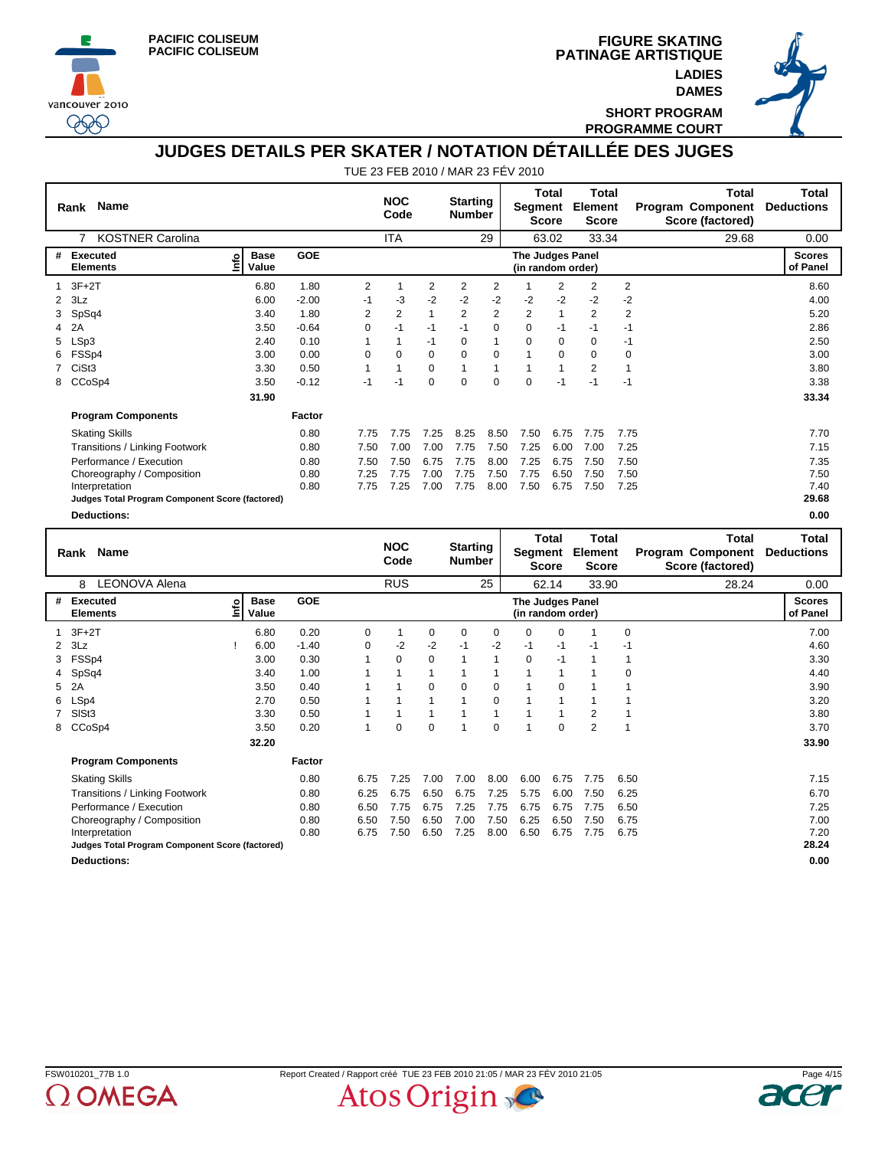





**SHORT PROGRAM PROGRAMME COURT**

# **JUDGES DETAILS PER SKATER / NOTATION DÉTAILLÉE DES JUGES**

|   | <b>Name</b><br>Rank                             |                            |            |                    | <b>NOC</b><br>Code |                                  | <b>Starting</b><br><b>Number</b> |                | Segment                                      | Total<br><b>Score</b>            | Total<br>Element<br><b>Score</b> |                                                       | Total<br>Program Component<br>Score (factored) | Total<br><b>Deductions</b> |
|---|-------------------------------------------------|----------------------------|------------|--------------------|--------------------|----------------------------------|----------------------------------|----------------|----------------------------------------------|----------------------------------|----------------------------------|-------------------------------------------------------|------------------------------------------------|----------------------------|
|   | <b>KOSTNER Carolina</b><br>7                    |                            |            |                    | <b>ITA</b>         |                                  |                                  | 29             |                                              | 63.02                            | 33.34                            |                                                       | 29.68                                          | 0.00                       |
| # | Executed<br><b>Elements</b>                     | <b>Base</b><br>۴ů<br>Value | <b>GOE</b> |                    |                    |                                  |                                  |                | <b>The Judges Panel</b><br>(in random order) |                                  |                                  |                                                       |                                                | <b>Scores</b><br>of Panel  |
|   | $3F+2T$                                         | 6.80                       | 1.80       | 2                  | 1                  | 2                                | 2                                | $\overline{2}$ |                                              | $\overline{2}$                   | $\overline{2}$                   | 2                                                     |                                                | 8.60                       |
| 2 | 3Lz                                             | 6.00                       | $-2.00$    | $-1$               | -3                 | $-2$                             | $-2$                             | $-2$           | -2                                           | $-2$                             | $-2$                             | $-2$                                                  |                                                | 4.00                       |
| 3 | SpSq4                                           | 3.40                       | 1.80       | 2                  | $\overline{2}$     | 1                                | 2                                | $\overline{2}$ | $\overline{2}$                               | $\mathbf{1}$                     | $\overline{2}$                   | $\overline{2}$                                        |                                                | 5.20                       |
| 4 | 2A                                              | 3.50                       | $-0.64$    | 0                  | $-1$               | $-1$                             | $-1$                             | 0              | 0                                            | -1                               | -1                               | $-1$                                                  |                                                | 2.86                       |
| 5 | LSp3                                            | 2.40                       | 0.10       |                    | 1                  | $-1$                             | $\Omega$                         | 1              | $\Omega$                                     | $\Omega$                         | $\Omega$                         | $-1$                                                  |                                                | 2.50                       |
|   | FSSp4                                           | 3.00                       | 0.00       | $\Omega$           | 0                  | $\Omega$                         | $\Omega$                         | 0              | 1                                            | 0                                | 0                                | 0                                                     |                                                | 3.00                       |
|   | CiSt3                                           | 3.30                       | 0.50       |                    | 1                  | 0                                | 1                                | 1              | $\mathbf{1}$                                 | $\mathbf{1}$                     | $\overline{2}$                   |                                                       |                                                | 3.80                       |
| 8 | CCoSp4                                          | 3.50                       | $-0.12$    | $-1$               | $-1$               | 0                                | $\Omega$                         | $\Omega$       | $\Omega$                                     | $-1$                             | $-1$                             | $-1$                                                  |                                                | 3.38                       |
|   |                                                 | 31.90                      |            |                    |                    |                                  |                                  |                |                                              |                                  |                                  |                                                       |                                                | 33.34                      |
|   | <b>Program Components</b>                       |                            | Factor     |                    |                    |                                  |                                  |                |                                              |                                  |                                  |                                                       |                                                |                            |
|   | <b>Skating Skills</b>                           |                            | 0.80       | 7.75               | 7.75               | 7.25                             | 8.25                             | 8.50           | 7.50                                         | 6.75                             | 7.75                             | 7.75                                                  |                                                | 7.70                       |
|   | Transitions / Linking Footwork                  |                            | 0.80       | 7.50               | 7.00               | 7.00                             | 7.75                             | 7.50           | 7.25                                         | 6.00                             | 7.00                             | 7.25                                                  |                                                | 7.15                       |
|   | Performance / Execution                         |                            | 0.80       | 7.50               | 7.50               | 6.75                             | 7.75                             | 8.00           | 7.25                                         | 6.75                             | 7.50                             | 7.50                                                  |                                                | 7.35                       |
|   | Choreography / Composition                      |                            | 0.80       | 7.25               | 7.75               | 7.00                             | 7.75                             | 7.50           | 7.75                                         | 6.50                             | 7.50                             | 7.50                                                  |                                                | 7.50                       |
|   | Interpretation                                  |                            | 0.80       | 7.75               | 7.25               | 7.00                             | 7.75                             | 8.00           | 7.50                                         | 6.75                             | 7.50                             | 7.25                                                  |                                                | 7.40                       |
|   | Judges Total Program Component Score (factored) |                            |            |                    |                    |                                  |                                  |                |                                              |                                  |                                  |                                                       |                                                | 29.68                      |
|   | <b>Deductions:</b>                              |                            |            |                    |                    |                                  |                                  |                |                                              |                                  |                                  |                                                       |                                                | 0.00                       |
|   | <b>Name</b><br>Rank<br>_______.                 |                            |            | <b>NOC</b><br>Code |                    | <b>Starting</b><br><b>Number</b> |                                  | Segment        | Total<br><b>Score</b>                        | Total<br>Element<br><b>Score</b> |                                  | <b>Total</b><br>Program Component<br>Score (factored) | Total<br><b>Deductions</b>                     |                            |

|                |                                                 |   |                      |            |          |            |          |          |             |                                       | ----         |                |             |       |                           |
|----------------|-------------------------------------------------|---|----------------------|------------|----------|------------|----------|----------|-------------|---------------------------------------|--------------|----------------|-------------|-------|---------------------------|
|                | <b>LEONOVA Alena</b><br>8                       |   |                      |            |          | <b>RUS</b> |          |          | 25          |                                       | 62.14        | 33.90          |             | 28.24 | 0.00                      |
| #              | Executed<br><b>Elements</b>                     | ۴ | <b>Base</b><br>Value | <b>GOE</b> |          |            |          |          |             | The Judges Panel<br>(in random order) |              |                |             |       | <b>Scores</b><br>of Panel |
|                | $1$ 3F+2T                                       |   | 6.80                 | 0.20       | 0        |            | 0        | 0        | 0           | $\Omega$                              | $\Omega$     |                | $\mathbf 0$ |       | 7.00                      |
|                | $2$ $3Lz$                                       |   | 6.00                 | $-1.40$    | $\Omega$ | -2         | $-2$     | $-1$     | $-2$        | -1                                    | $-1$         | -1             | -1          |       | 4.60                      |
|                | 3 FSSp4                                         |   | 3.00                 | 0.30       | 1        | 0          | $\Omega$ |          | 1           | $\mathbf 0$                           | $-1$         |                | 1           |       | 3.30                      |
|                | 4 SpSq4                                         |   | 3.40                 | 1.00       |          |            |          |          |             |                                       | $\mathbf{1}$ |                | 0           |       | 4.40                      |
| 5              | 2A                                              |   | 3.50                 | 0.40       |          |            | 0        | $\Omega$ | 0           |                                       | 0            |                |             |       | 3.90                      |
| 6              | LSp4                                            |   | 2.70                 | 0.50       |          |            |          |          | $\mathbf 0$ |                                       | 1            |                |             |       | 3.20                      |
| $\overline{7}$ | SISt <sub>3</sub>                               |   | 3.30                 | 0.50       |          |            |          |          |             |                                       |              | $\overline{2}$ |             |       | 3.80                      |
| 8              | CCoSp4                                          |   | 3.50                 | 0.20       |          | 0          | 0        |          | 0           |                                       | 0            | 2              |             |       | 3.70                      |
|                |                                                 |   | 32.20                |            |          |            |          |          |             |                                       |              |                |             |       | 33.90                     |
|                | <b>Program Components</b>                       |   |                      | Factor     |          |            |          |          |             |                                       |              |                |             |       |                           |
|                | <b>Skating Skills</b>                           |   |                      | 0.80       | 6.75     | 7.25       | 7.00     | 7.00     | 8.00        | 6.00                                  | 6.75         | 7.75           | 6.50        |       | 7.15                      |
|                | <b>Transitions / Linking Footwork</b>           |   |                      | 0.80       | 6.25     | 6.75       | 6.50     | 6.75     | 7.25        | 5.75                                  | 6.00         | 7.50           | 6.25        |       | 6.70                      |
|                | Performance / Execution                         |   |                      | 0.80       | 6.50     | 7.75       | 6.75     | 7.25     | 7.75        | 6.75                                  | 6.75         | 7.75           | 6.50        |       | 7.25                      |
|                | Choreography / Composition                      |   |                      | 0.80       | 6.50     | 7.50       | 6.50     | 7.00     | 7.50        | 6.25                                  | 6.50         | 7.50           | 6.75        |       | 7.00                      |
|                | Interpretation                                  |   |                      | 0.80       | 6.75     | 7.50       | 6.50     | 7.25     | 8.00        | 6.50                                  | 6.75         | 7.75           | 6.75        |       | 7.20                      |
|                | Judges Total Program Component Score (factored) |   |                      |            |          |            |          |          |             |                                       |              |                |             |       | 28.24                     |
|                | <b>Deductions:</b>                              |   |                      |            |          |            |          |          |             |                                       |              |                |             |       | 0.00                      |



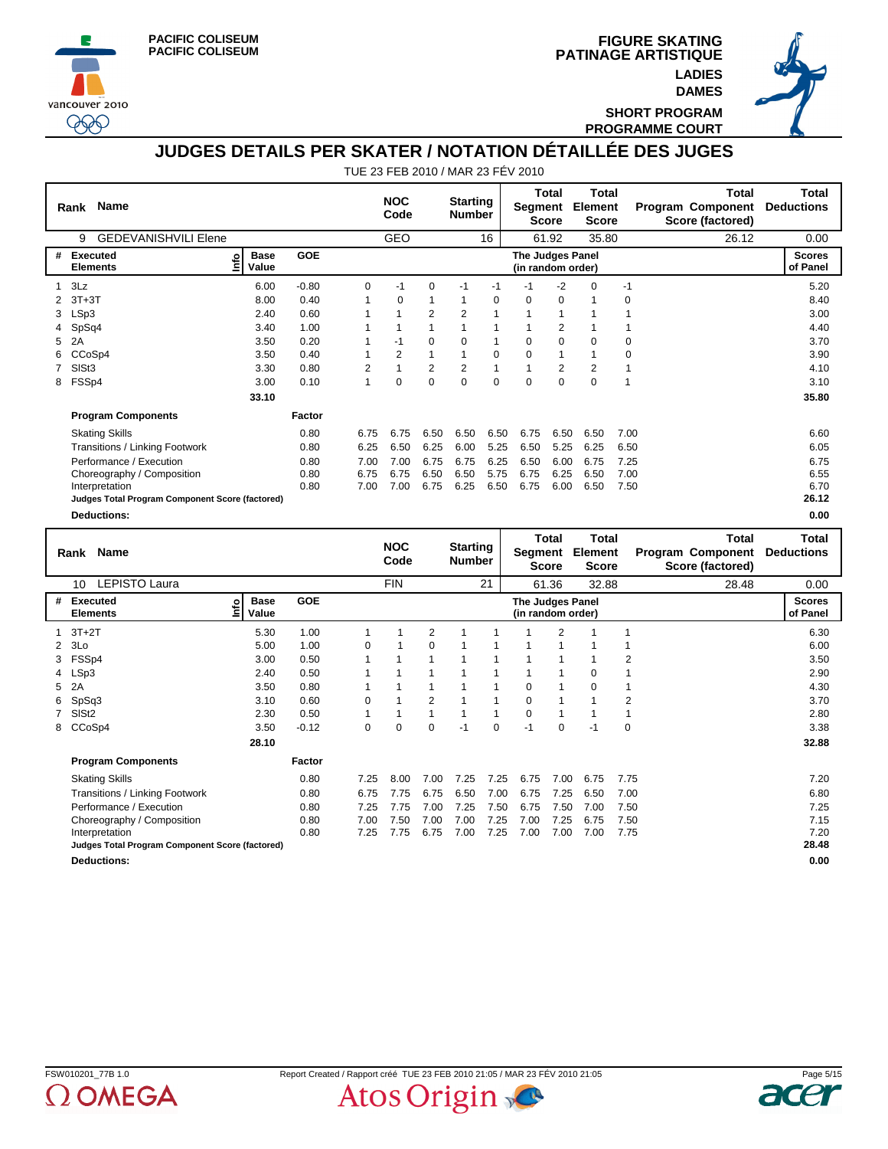



**PATINAGE ARTISTIQUE FIGURE SKATING LADIES DAMES**



**SHORT PROGRAM PROGRAMME COURT**

### **JUDGES DETAILS PER SKATER / NOTATION DÉTAILLÉE DES JUGES**

| GEO<br><b>GEDEVANISHVILI Elene</b><br>16<br>35.80<br>26.12<br>61.92<br>0.00<br>9<br>GOE<br><b>Executed</b><br><b>Base</b><br><b>Scores</b><br>#<br>The Judges Panel<br><u>lnfo</u><br><b>Elements</b><br>Value<br>of Panel<br>(in random order)<br>3Lz<br>$-2$<br>6.00<br>$-0.80$<br>0<br>0<br>$-1$<br>$\Omega$<br>5.20<br>$-1$<br>$-1$<br>$-1$<br>$-1$<br>1<br>$3T+3T$<br>8.00<br>0<br>$\Omega$<br>8.40<br>0.40<br>$\Omega$<br>$\mathbf{1}$<br>$\Omega$<br>0<br>1<br>1<br>-1<br>LSp3<br>0.60<br>2<br>2<br>3.00<br>2.40<br>1<br>1<br>3<br>1<br>1<br>SpSq4<br>2<br>3.40<br>1.00<br>4.40<br>1<br>1<br>2A<br>0.20<br>$\Omega$<br>3.70<br>3.50<br>$-1$<br>$\Omega$<br>$\Omega$<br>$\Omega$<br>$\Omega$<br>5<br>1<br>0<br>1<br>2<br>CCoSp4<br>3.50<br>0.40<br>0<br>$\Omega$<br>0<br>3.90<br>1<br>1<br>1<br>$\overline{2}$<br>SIS <sub>t3</sub><br>$\overline{2}$<br>$\overline{2}$<br>$\overline{2}$<br>0.80<br>$\overline{1}$<br>1<br>$\overline{2}$<br>3.30<br>4.10<br>1<br>FSSp4<br>$\mathbf 0$<br>$\mathbf 0$<br>3.00<br>0<br>$\mathbf 0$<br>0<br>$\Omega$<br>0.10<br>1<br>0<br>$\overline{1}$<br>3.10<br>8<br>33.10<br>35.80<br><b>Program Components</b><br>Factor<br><b>Skating Skills</b><br>0.80<br>6.75<br>6.50<br>6.50<br>6.75<br>6.50<br>6.50<br>7.00<br>6.60<br>6.75<br>6.50<br><b>Transitions / Linking Footwork</b><br>6.25<br>5.25<br>5.25<br>6.50<br>6.05<br>0.80<br>6.25<br>6.50<br>6.00<br>6.50<br>6.25<br>Performance / Execution<br>7.00<br>6.75<br>6.75<br>6.25<br>6.50<br>7.25<br>6.75<br>0.80<br>7.00<br>6.00<br>6.75<br>6.55<br>0.80<br>6.75<br>6.75<br>6.50<br>6.50<br>5.75<br>6.75<br>6.25<br>7.00<br>6.50<br>Choreography / Composition<br>7.00<br>6.25<br>7.50<br>6.70<br>0.80<br>7.00<br>6.75<br>6.50<br>6.75<br>6.00<br>6.50<br>Interpretation<br>26.12<br>Judges Total Program Component Score (factored)<br>0.00<br><b>Deductions:</b><br><b>Total</b><br><b>Total</b><br><b>Total</b><br>Total<br><b>NOC</b><br><b>Starting</b><br><b>Name</b><br>Segment<br>Element<br><b>Deductions</b><br>Program Component<br>Rank<br>Code<br><b>Number</b><br><b>Score</b><br><b>Score</b><br>Score (factored)<br><b>LEPISTO Laura</b><br><b>FIN</b><br>21<br>61.36<br>28.48<br>0.00<br>10<br>32.88 | Rank Name |  | <b>NOC</b><br>Code | <b>Starting</b><br><b>Number</b> | Segment | <b>Total</b><br><b>Score</b> | <b>Total</b><br>Element<br><b>Score</b> | <b>Total</b><br>Program Component<br>Score (factored) | <b>Total</b><br><b>Deductions</b> |
|-----------------------------------------------------------------------------------------------------------------------------------------------------------------------------------------------------------------------------------------------------------------------------------------------------------------------------------------------------------------------------------------------------------------------------------------------------------------------------------------------------------------------------------------------------------------------------------------------------------------------------------------------------------------------------------------------------------------------------------------------------------------------------------------------------------------------------------------------------------------------------------------------------------------------------------------------------------------------------------------------------------------------------------------------------------------------------------------------------------------------------------------------------------------------------------------------------------------------------------------------------------------------------------------------------------------------------------------------------------------------------------------------------------------------------------------------------------------------------------------------------------------------------------------------------------------------------------------------------------------------------------------------------------------------------------------------------------------------------------------------------------------------------------------------------------------------------------------------------------------------------------------------------------------------------------------------------------------------------------------------------------------------------------------------------------------------------------------------------------------------------------------------------------------------------------------------------------------------|-----------|--|--------------------|----------------------------------|---------|------------------------------|-----------------------------------------|-------------------------------------------------------|-----------------------------------|
|                                                                                                                                                                                                                                                                                                                                                                                                                                                                                                                                                                                                                                                                                                                                                                                                                                                                                                                                                                                                                                                                                                                                                                                                                                                                                                                                                                                                                                                                                                                                                                                                                                                                                                                                                                                                                                                                                                                                                                                                                                                                                                                                                                                                                       |           |  |                    |                                  |         |                              |                                         |                                                       |                                   |
|                                                                                                                                                                                                                                                                                                                                                                                                                                                                                                                                                                                                                                                                                                                                                                                                                                                                                                                                                                                                                                                                                                                                                                                                                                                                                                                                                                                                                                                                                                                                                                                                                                                                                                                                                                                                                                                                                                                                                                                                                                                                                                                                                                                                                       |           |  |                    |                                  |         |                              |                                         |                                                       |                                   |
|                                                                                                                                                                                                                                                                                                                                                                                                                                                                                                                                                                                                                                                                                                                                                                                                                                                                                                                                                                                                                                                                                                                                                                                                                                                                                                                                                                                                                                                                                                                                                                                                                                                                                                                                                                                                                                                                                                                                                                                                                                                                                                                                                                                                                       |           |  |                    |                                  |         |                              |                                         |                                                       |                                   |
|                                                                                                                                                                                                                                                                                                                                                                                                                                                                                                                                                                                                                                                                                                                                                                                                                                                                                                                                                                                                                                                                                                                                                                                                                                                                                                                                                                                                                                                                                                                                                                                                                                                                                                                                                                                                                                                                                                                                                                                                                                                                                                                                                                                                                       |           |  |                    |                                  |         |                              |                                         |                                                       |                                   |
|                                                                                                                                                                                                                                                                                                                                                                                                                                                                                                                                                                                                                                                                                                                                                                                                                                                                                                                                                                                                                                                                                                                                                                                                                                                                                                                                                                                                                                                                                                                                                                                                                                                                                                                                                                                                                                                                                                                                                                                                                                                                                                                                                                                                                       |           |  |                    |                                  |         |                              |                                         |                                                       |                                   |
|                                                                                                                                                                                                                                                                                                                                                                                                                                                                                                                                                                                                                                                                                                                                                                                                                                                                                                                                                                                                                                                                                                                                                                                                                                                                                                                                                                                                                                                                                                                                                                                                                                                                                                                                                                                                                                                                                                                                                                                                                                                                                                                                                                                                                       |           |  |                    |                                  |         |                              |                                         |                                                       |                                   |
|                                                                                                                                                                                                                                                                                                                                                                                                                                                                                                                                                                                                                                                                                                                                                                                                                                                                                                                                                                                                                                                                                                                                                                                                                                                                                                                                                                                                                                                                                                                                                                                                                                                                                                                                                                                                                                                                                                                                                                                                                                                                                                                                                                                                                       |           |  |                    |                                  |         |                              |                                         |                                                       |                                   |
|                                                                                                                                                                                                                                                                                                                                                                                                                                                                                                                                                                                                                                                                                                                                                                                                                                                                                                                                                                                                                                                                                                                                                                                                                                                                                                                                                                                                                                                                                                                                                                                                                                                                                                                                                                                                                                                                                                                                                                                                                                                                                                                                                                                                                       |           |  |                    |                                  |         |                              |                                         |                                                       |                                   |
|                                                                                                                                                                                                                                                                                                                                                                                                                                                                                                                                                                                                                                                                                                                                                                                                                                                                                                                                                                                                                                                                                                                                                                                                                                                                                                                                                                                                                                                                                                                                                                                                                                                                                                                                                                                                                                                                                                                                                                                                                                                                                                                                                                                                                       |           |  |                    |                                  |         |                              |                                         |                                                       |                                   |
|                                                                                                                                                                                                                                                                                                                                                                                                                                                                                                                                                                                                                                                                                                                                                                                                                                                                                                                                                                                                                                                                                                                                                                                                                                                                                                                                                                                                                                                                                                                                                                                                                                                                                                                                                                                                                                                                                                                                                                                                                                                                                                                                                                                                                       |           |  |                    |                                  |         |                              |                                         |                                                       |                                   |
|                                                                                                                                                                                                                                                                                                                                                                                                                                                                                                                                                                                                                                                                                                                                                                                                                                                                                                                                                                                                                                                                                                                                                                                                                                                                                                                                                                                                                                                                                                                                                                                                                                                                                                                                                                                                                                                                                                                                                                                                                                                                                                                                                                                                                       |           |  |                    |                                  |         |                              |                                         |                                                       |                                   |
|                                                                                                                                                                                                                                                                                                                                                                                                                                                                                                                                                                                                                                                                                                                                                                                                                                                                                                                                                                                                                                                                                                                                                                                                                                                                                                                                                                                                                                                                                                                                                                                                                                                                                                                                                                                                                                                                                                                                                                                                                                                                                                                                                                                                                       |           |  |                    |                                  |         |                              |                                         |                                                       |                                   |
|                                                                                                                                                                                                                                                                                                                                                                                                                                                                                                                                                                                                                                                                                                                                                                                                                                                                                                                                                                                                                                                                                                                                                                                                                                                                                                                                                                                                                                                                                                                                                                                                                                                                                                                                                                                                                                                                                                                                                                                                                                                                                                                                                                                                                       |           |  |                    |                                  |         |                              |                                         |                                                       |                                   |
|                                                                                                                                                                                                                                                                                                                                                                                                                                                                                                                                                                                                                                                                                                                                                                                                                                                                                                                                                                                                                                                                                                                                                                                                                                                                                                                                                                                                                                                                                                                                                                                                                                                                                                                                                                                                                                                                                                                                                                                                                                                                                                                                                                                                                       |           |  |                    |                                  |         |                              |                                         |                                                       |                                   |
|                                                                                                                                                                                                                                                                                                                                                                                                                                                                                                                                                                                                                                                                                                                                                                                                                                                                                                                                                                                                                                                                                                                                                                                                                                                                                                                                                                                                                                                                                                                                                                                                                                                                                                                                                                                                                                                                                                                                                                                                                                                                                                                                                                                                                       |           |  |                    |                                  |         |                              |                                         |                                                       |                                   |
|                                                                                                                                                                                                                                                                                                                                                                                                                                                                                                                                                                                                                                                                                                                                                                                                                                                                                                                                                                                                                                                                                                                                                                                                                                                                                                                                                                                                                                                                                                                                                                                                                                                                                                                                                                                                                                                                                                                                                                                                                                                                                                                                                                                                                       |           |  |                    |                                  |         |                              |                                         |                                                       |                                   |
|                                                                                                                                                                                                                                                                                                                                                                                                                                                                                                                                                                                                                                                                                                                                                                                                                                                                                                                                                                                                                                                                                                                                                                                                                                                                                                                                                                                                                                                                                                                                                                                                                                                                                                                                                                                                                                                                                                                                                                                                                                                                                                                                                                                                                       |           |  |                    |                                  |         |                              |                                         |                                                       |                                   |
|                                                                                                                                                                                                                                                                                                                                                                                                                                                                                                                                                                                                                                                                                                                                                                                                                                                                                                                                                                                                                                                                                                                                                                                                                                                                                                                                                                                                                                                                                                                                                                                                                                                                                                                                                                                                                                                                                                                                                                                                                                                                                                                                                                                                                       |           |  |                    |                                  |         |                              |                                         |                                                       |                                   |
|                                                                                                                                                                                                                                                                                                                                                                                                                                                                                                                                                                                                                                                                                                                                                                                                                                                                                                                                                                                                                                                                                                                                                                                                                                                                                                                                                                                                                                                                                                                                                                                                                                                                                                                                                                                                                                                                                                                                                                                                                                                                                                                                                                                                                       |           |  |                    |                                  |         |                              |                                         |                                                       |                                   |
|                                                                                                                                                                                                                                                                                                                                                                                                                                                                                                                                                                                                                                                                                                                                                                                                                                                                                                                                                                                                                                                                                                                                                                                                                                                                                                                                                                                                                                                                                                                                                                                                                                                                                                                                                                                                                                                                                                                                                                                                                                                                                                                                                                                                                       |           |  |                    |                                  |         |                              |                                         |                                                       |                                   |
|                                                                                                                                                                                                                                                                                                                                                                                                                                                                                                                                                                                                                                                                                                                                                                                                                                                                                                                                                                                                                                                                                                                                                                                                                                                                                                                                                                                                                                                                                                                                                                                                                                                                                                                                                                                                                                                                                                                                                                                                                                                                                                                                                                                                                       |           |  |                    |                                  |         |                              |                                         |                                                       |                                   |

|   | <b>LEPISTO Laura</b><br>10                      |                           |            |          | <b>FIN</b> |          |      | 21   |                                       | 61.36          | 32.88    |             | 28.48 | 0.00                      |
|---|-------------------------------------------------|---------------------------|------------|----------|------------|----------|------|------|---------------------------------------|----------------|----------|-------------|-------|---------------------------|
|   | # Executed<br><b>Elements</b>                   | <b>Base</b><br>۴<br>Value | <b>GOE</b> |          |            |          |      |      | The Judges Panel<br>(in random order) |                |          |             |       | <b>Scores</b><br>of Panel |
|   | $1$ 3T+2T                                       | 5.30                      | 1.00       |          |            | 2        |      |      |                                       | 2              |          |             |       | 6.30                      |
|   | $2$ 3Lo                                         | 5.00                      | 1.00       | $\Omega$ |            | $\Omega$ |      |      |                                       |                |          |             |       | 6.00                      |
|   | 3 FSSp4                                         | 3.00                      | 0.50       |          |            |          |      |      |                                       |                |          | 2           |       | 3.50                      |
|   | 4 LSp3                                          | 2.40                      | 0.50       |          |            |          |      |      |                                       | 1              | $\Omega$ |             |       | 2.90                      |
|   | 5 2A                                            | 3.50                      | 0.80       |          |            |          |      |      | 0                                     | 1              | 0        | 1           |       | 4.30                      |
| 6 | SpSq3                                           | 3.10                      | 0.60       | 0        |            | 2        |      |      | 0                                     |                |          | 2           |       | 3.70                      |
|   | SISt <sub>2</sub>                               | 2.30                      | 0.50       |          |            |          |      |      | 0                                     | $\overline{1}$ |          |             |       | 2.80                      |
| 8 | CCoSp4                                          | 3.50                      | $-0.12$    | 0        | 0          | $\Omega$ | $-1$ | 0    | $-1$                                  | $\mathbf 0$    | $-1$     | $\mathbf 0$ |       | 3.38                      |
|   |                                                 | 28.10                     |            |          |            |          |      |      |                                       |                |          |             |       | 32.88                     |
|   | <b>Program Components</b>                       |                           | Factor     |          |            |          |      |      |                                       |                |          |             |       |                           |
|   | <b>Skating Skills</b>                           |                           | 0.80       | 7.25     | 8.00       | 7.00     | 7.25 | 7.25 | 6.75                                  | 7.00           | 6.75     | 7.75        |       | 7.20                      |
|   | Transitions / Linking Footwork                  |                           | 0.80       | 6.75     | 7.75       | 6.75     | 6.50 | 7.00 | 6.75                                  | 7.25           | 6.50     | 7.00        |       | 6.80                      |
|   | Performance / Execution                         |                           | 0.80       | 7.25     | 7.75       | 7.00     | 7.25 | 7.50 | 6.75                                  | 7.50           | 7.00     | 7.50        |       | 7.25                      |
|   | Choreography / Composition                      |                           | 0.80       | 7.00     | 7.50       | 7.00     | 7.00 | 7.25 | 7.00                                  | 7.25           | 6.75     | 7.50        |       | 7.15                      |
|   | Interpretation                                  |                           | 0.80       | 7.25     | 7.75       | 6.75     | 7.00 | 7.25 | 7.00                                  | 7.00           | 7.00     | 7.75        |       | 7.20                      |
|   | Judges Total Program Component Score (factored) |                           |            |          |            |          |      |      |                                       |                |          |             |       | 28.48                     |
|   | <b>Deductions:</b>                              |                           |            |          |            |          |      |      |                                       |                |          |             |       | 0.00                      |



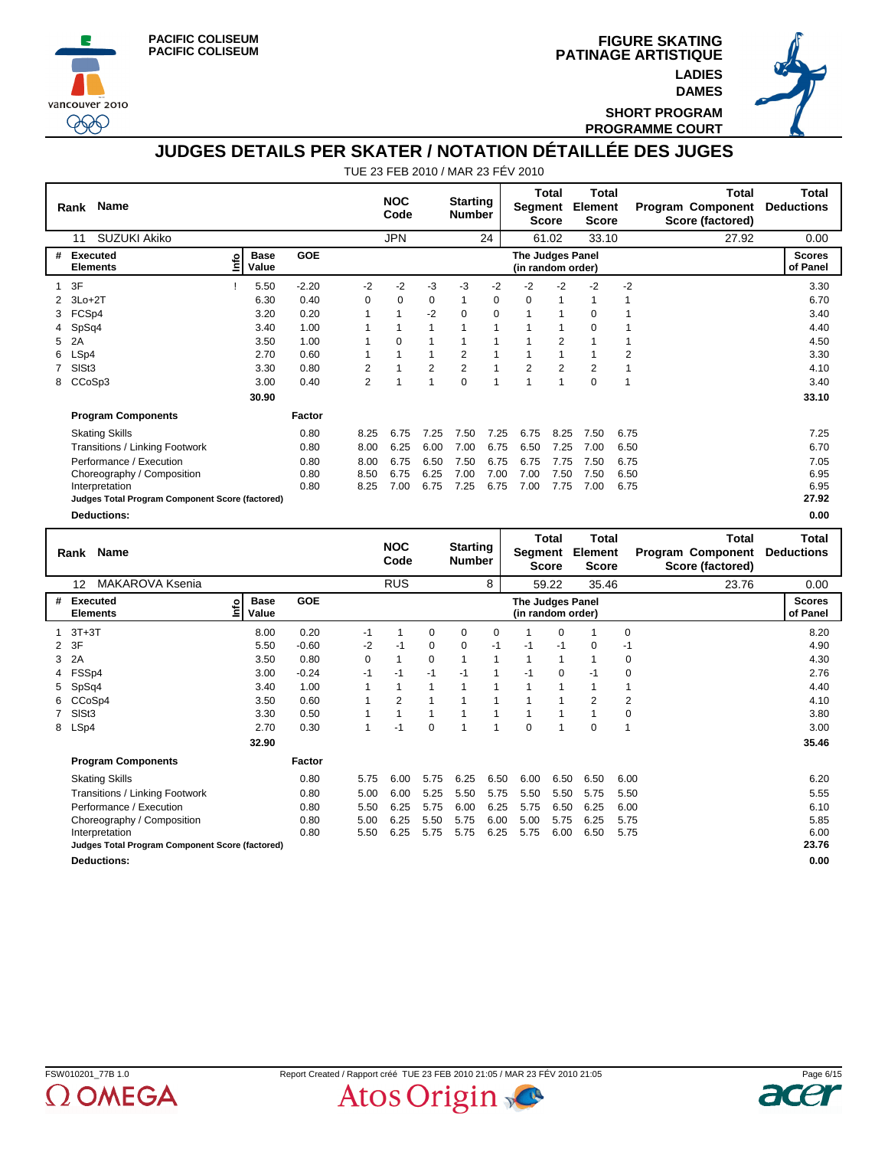





**SHORT PROGRAM PROGRAMME COURT**

## **JUDGES DETAILS PER SKATER / NOTATION DÉTAILLÉE DES JUGES**

|   | <b>Name</b><br>Rank                             |      |                      |         |                | <b>NOC</b><br>Code |                | <b>Starting</b><br><b>Number</b> |      | Segment                               | Total<br><b>Score</b> | Total<br>Element<br><b>Score</b> |                | Total<br><b>Program Component</b><br>Score (factored) | <b>Total</b><br><b>Deductions</b> |
|---|-------------------------------------------------|------|----------------------|---------|----------------|--------------------|----------------|----------------------------------|------|---------------------------------------|-----------------------|----------------------------------|----------------|-------------------------------------------------------|-----------------------------------|
|   | <b>SUZUKI Akiko</b><br>11                       |      |                      |         |                | <b>JPN</b>         |                |                                  | 24   |                                       | 61.02                 | 33.10                            |                | 27.92                                                 | 0.00                              |
| # | Executed<br><b>Elements</b>                     | ١nfo | <b>Base</b><br>Value | GOE     |                |                    |                |                                  |      | The Judges Panel<br>(in random order) |                       |                                  |                |                                                       | <b>Scores</b><br>of Panel         |
| 1 | 3F                                              |      | 5.50                 | $-2.20$ | -2             | $-2$               | $-3$           | -3                               | $-2$ | $-2$                                  | $-2$                  | $-2$                             | $-2$           |                                                       | 3.30                              |
| 2 | $3Lo+2T$                                        |      | 6.30                 | 0.40    | $\mathbf 0$    | 0                  | $\mathbf 0$    | 1                                | 0    | $\Omega$                              | $\mathbf{1}$          | 1                                | 1              |                                                       | 6.70                              |
| 3 | FCSp4                                           |      | 3.20                 | 0.20    |                | 1                  | $-2$           | 0                                | 0    |                                       | 1                     | 0                                |                |                                                       | 3.40                              |
|   | SpSq4                                           |      | 3.40                 | 1.00    |                |                    | $\mathbf{1}$   | 1                                | 1    |                                       | 1                     | $\mathbf 0$                      |                |                                                       | 4.40                              |
| 5 | 2A                                              |      | 3.50                 | 1.00    | 1              | 0                  | 1              | 1                                | 1    | 1                                     | $\overline{2}$        |                                  | $\mathbf 1$    |                                                       | 4.50                              |
| 6 | LSp4                                            |      | 2.70                 | 0.60    |                | 1                  | 1              | $\overline{2}$                   |      | 1                                     | 1                     |                                  | $\overline{2}$ |                                                       | 3.30                              |
|   | SISt3                                           |      | 3.30                 | 0.80    | $\overline{2}$ | 1                  | $\overline{2}$ | $\overline{2}$                   | 1    | $\overline{2}$                        | $\overline{2}$        | $\overline{2}$                   | $\mathbf{1}$   |                                                       | 4.10                              |
| 8 | CCoSp3                                          |      | 3.00                 | 0.40    | $\overline{2}$ | 1                  | $\overline{1}$ | $\Omega$                         | 1    | $\overline{ }$                        | $\overline{1}$        | $\Omega$                         | $\mathbf{1}$   |                                                       | 3.40                              |
|   |                                                 |      | 30.90                |         |                |                    |                |                                  |      |                                       |                       |                                  |                |                                                       | 33.10                             |
|   | <b>Program Components</b>                       |      |                      | Factor  |                |                    |                |                                  |      |                                       |                       |                                  |                |                                                       |                                   |
|   | <b>Skating Skills</b>                           |      |                      | 0.80    | 8.25           | 6.75               | 7.25           | 7.50                             | 7.25 | 6.75                                  | 8.25                  | 7.50                             | 6.75           |                                                       | 7.25                              |
|   | Transitions / Linking Footwork                  |      |                      | 0.80    | 8.00           | 6.25               | 6.00           | 7.00                             | 6.75 | 6.50                                  | 7.25                  | 7.00                             | 6.50           |                                                       | 6.70                              |
|   | Performance / Execution                         |      |                      | 0.80    | 8.00           | 6.75               | 6.50           | 7.50                             | 6.75 | 6.75                                  | 7.75                  | 7.50                             | 6.75           |                                                       | 7.05                              |
|   | Choreography / Composition                      |      |                      | 0.80    | 8.50           | 6.75               | 6.25           | 7.00                             | 7.00 | 7.00                                  | 7.50                  | 7.50                             | 6.50           |                                                       | 6.95                              |
|   | Interpretation                                  |      |                      | 0.80    | 8.25           | 7.00               | 6.75           | 7.25                             | 6.75 | 7.00                                  | 7.75                  | 7.00                             | 6.75           |                                                       | 6.95                              |
|   | Judges Total Program Component Score (factored) |      |                      |         |                |                    |                |                                  |      |                                       |                       |                                  |                |                                                       | 27.92                             |
|   | <b>Deductions:</b>                              |      |                      |         |                |                    |                |                                  |      |                                       |                       |                                  |                |                                                       | 0.00                              |
|   |                                                 |      |                      |         |                |                    |                |                                  |      |                                       | <b>Total</b>          | <b>Total</b>                     |                | <b>Total</b>                                          | <b>Total</b>                      |
|   | <b>Name</b><br>Rank                             |      |                      |         |                | <b>NOC</b><br>Code |                | <b>Starting</b><br><b>Number</b> |      | Segment                               | <b>Score</b>          | Element<br><b>Score</b>          |                | <b>Program Component</b><br>Score (factored)          | <b>Deductions</b>                 |
|   | <b>MAKAROVA Ksenia</b><br>12                    |      |                      |         |                | <b>RUS</b>         |                |                                  | 8    |                                       | 59.22                 | 35.46                            |                | 23.76                                                 | 0.00                              |
| # | Executed<br><b>Elements</b>                     | ۴ů   | <b>Base</b><br>Value | GOE     |                |                    |                |                                  |      | The Judges Panel<br>(in random order) |                       |                                  |                |                                                       | <b>Scores</b><br>of Panel         |

| # | Executed<br><u>lnfo</u><br><b>Elements</b>      | <b>Base</b><br>Value | <b>GOE</b> |      |      |          |          |      | The Judges Panel<br>(in random order) |             |          |                | <b>Scores</b><br>of Panel |
|---|-------------------------------------------------|----------------------|------------|------|------|----------|----------|------|---------------------------------------|-------------|----------|----------------|---------------------------|
|   | $1$ 3T+3T                                       | 8.00                 | 0.20       | $-1$ |      | $\Omega$ | $\Omega$ | 0    |                                       | $\Omega$    |          | 0              | 8.20                      |
|   | 2 3F                                            | 5.50                 | $-0.60$    | $-2$ | $-1$ | 0        | 0        | $-1$ | $-1$                                  | $-1$        | $\Omega$ | -1             | 4.90                      |
|   | 3 2A                                            | 3.50                 | 0.80       | 0    |      | 0        |          |      |                                       | 1           |          | $\mathbf 0$    | 4.30                      |
|   | 4 FSSp4                                         | 3.00                 | $-0.24$    | $-1$ | $-1$ | $-1$     | $-1$     |      | $-1$                                  | $\mathbf 0$ | -1       | 0              | 2.76                      |
|   | 5 SpSq4                                         | 3.40                 | 1.00       |      |      | 1        |          |      |                                       | 1           |          | 1              | 4.40                      |
|   | 6 CCoSp4                                        | 3.50                 | 0.60       |      | 2    | 1        |          |      |                                       |             | 2        | $\overline{2}$ | 4.10                      |
|   | 7 SISt3                                         | 3.30                 | 0.50       | 1    |      | 1        |          |      |                                       | 1           |          | $\mathbf 0$    | 3.80                      |
|   | 8 LSp4                                          | 2.70                 | 0.30       |      | -1   | $\Omega$ | 1        | 1    | $\mathbf 0$                           | 1           | $\Omega$ | 1              | 3.00                      |
|   |                                                 | 32.90                |            |      |      |          |          |      |                                       |             |          |                | 35.46                     |
|   | <b>Program Components</b>                       |                      | Factor     |      |      |          |          |      |                                       |             |          |                |                           |
|   | <b>Skating Skills</b>                           |                      | 0.80       | 5.75 | 6.00 | 5.75     | 6.25     | 6.50 | 6.00                                  | 6.50        | 6.50     | 6.00           | 6.20                      |
|   | Transitions / Linking Footwork                  |                      | 0.80       | 5.00 | 6.00 | 5.25     | 5.50     | 5.75 | 5.50                                  | 5.50        | 5.75     | 5.50           | 5.55                      |
|   | Performance / Execution                         |                      | 0.80       | 5.50 | 6.25 | 5.75     | 6.00     | 6.25 | 5.75                                  | 6.50        | 6.25     | 6.00           | 6.10                      |
|   | Choreography / Composition                      |                      | 0.80       | 5.00 | 6.25 | 5.50     | 5.75     | 6.00 | 5.00                                  | 5.75        | 6.25     | 5.75           | 5.85                      |
|   | Interpretation                                  |                      | 0.80       | 5.50 | 6.25 | 5.75     | 5.75     | 6.25 | 5.75                                  | 6.00        | 6.50     | 5.75           | 6.00                      |
|   | Judges Total Program Component Score (factored) |                      |            |      |      |          |          |      |                                       |             |          |                | 23.76                     |
|   | <b>Deductions:</b>                              |                      |            |      |      |          |          |      |                                       |             |          |                | 0.00                      |

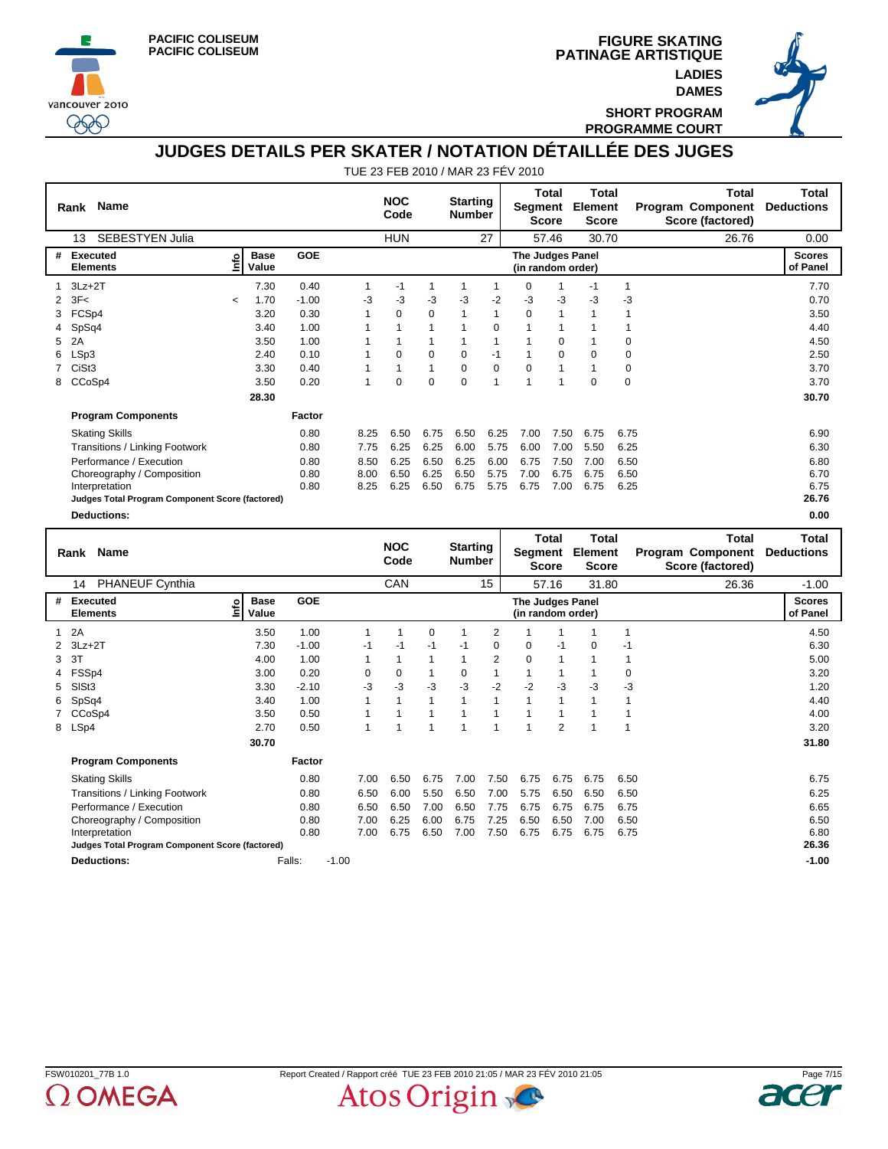

vancouver 2010 999





**SHORT PROGRAM PROGRAMME COURT**

## **JUDGES DETAILS PER SKATER / NOTATION DÉTAILLÉE DES JUGES**

|   | <b>Name</b><br>Rank                             |         |                      |            |              | <b>NOC</b><br>Code |              | <b>Starting</b><br><b>Number</b> |              | Segment                               | <b>Total</b><br><b>Score</b> | <b>Total</b><br>Element<br><b>Score</b> |              | <b>Total</b><br>Program Component<br>Score (factored) | <b>Total</b><br><b>Deductions</b> |
|---|-------------------------------------------------|---------|----------------------|------------|--------------|--------------------|--------------|----------------------------------|--------------|---------------------------------------|------------------------------|-----------------------------------------|--------------|-------------------------------------------------------|-----------------------------------|
|   | SEBESTYEN Julia<br>13                           |         |                      |            |              | <b>HUN</b>         |              |                                  | 27           |                                       | 57.46                        | 30.70                                   |              | 26.76                                                 | 0.00                              |
| # | <b>Executed</b><br><b>Elements</b>              | Lid     | <b>Base</b><br>Value | <b>GOE</b> |              |                    |              |                                  |              | The Judges Panel<br>(in random order) |                              |                                         |              |                                                       | <b>Scores</b><br>of Panel         |
| 1 | $3Lz + 2T$                                      |         | 7.30                 | 0.40       | $\mathbf{1}$ | -1                 | 1            | 1                                | 1            | 0                                     | $\mathbf{1}$                 | -1                                      | 1            |                                                       | 7.70                              |
| 2 | 3F<                                             | $\prec$ | 1.70                 | $-1.00$    | -3           | -3                 | -3           | -3                               | -2           | -3                                    | -3                           | -3                                      | -3           |                                                       | 0.70                              |
| 3 | FCSp4                                           |         | 3.20                 | 0.30       | $\mathbf{1}$ | $\Omega$           | 0            | $\mathbf{1}$                     | $\mathbf{1}$ | $\Omega$                              | $\mathbf{1}$                 | $\mathbf{1}$                            | $\mathbf{1}$ |                                                       | 3.50                              |
|   | SpSq4                                           |         | 3.40                 | 1.00       | 1            | 1                  | 1            | $\mathbf{1}$                     | 0            | $\mathbf{1}$                          | $\mathbf{1}$                 | 1                                       | $\mathbf{1}$ |                                                       | 4.40                              |
| 5 | 2A                                              |         | 3.50                 | 1.00       | 1            | $\mathbf{1}$       | $\mathbf{1}$ | $\mathbf{1}$                     | $\mathbf{1}$ | $\mathbf{1}$                          | $\Omega$                     | 1                                       | $\mathbf 0$  |                                                       | 4.50                              |
| 6 | LSp3                                            |         | 2.40                 | 0.10       | $\mathbf{1}$ | $\Omega$           | $\Omega$     | $\Omega$                         | $-1$         | 1                                     | $\Omega$                     | $\Omega$                                | $\mathbf 0$  |                                                       | 2.50                              |
| 7 | CiSt3                                           |         | 3.30                 | 0.40       | $\mathbf{1}$ | 1                  | 1            | $\Omega$                         | $\mathbf 0$  | $\mathbf 0$                           | $\mathbf{1}$                 | $\mathbf{1}$                            | $\mathbf 0$  |                                                       | 3.70                              |
| 8 | CCoSp4                                          |         | 3.50                 | 0.20       | $\mathbf{1}$ | $\Omega$           | $\Omega$     | $\Omega$                         | $\mathbf{1}$ | $\mathbf{1}$                          | $\mathbf{1}$                 | $\Omega$                                | $\mathbf 0$  |                                                       | 3.70                              |
|   |                                                 |         | 28.30                |            |              |                    |              |                                  |              |                                       |                              |                                         |              |                                                       | 30.70                             |
|   | <b>Program Components</b>                       |         |                      | Factor     |              |                    |              |                                  |              |                                       |                              |                                         |              |                                                       |                                   |
|   | <b>Skating Skills</b>                           |         |                      | 0.80       | 8.25         | 6.50               | 6.75         | 6.50                             | 6.25         | 7.00                                  | 7.50                         | 6.75                                    | 6.75         |                                                       | 6.90                              |
|   | Transitions / Linking Footwork                  |         |                      | 0.80       | 7.75         | 6.25               | 6.25         | 6.00                             | 5.75         | 6.00                                  | 7.00                         | 5.50                                    | 6.25         |                                                       | 6.30                              |
|   | Performance / Execution                         |         |                      | 0.80       | 8.50         | 6.25               | 6.50         | 6.25                             | 6.00         | 6.75                                  | 7.50                         | 7.00                                    | 6.50         |                                                       | 6.80                              |
|   | Choreography / Composition                      |         |                      | 0.80       | 8.00         | 6.50               | 6.25         | 6.50                             | 5.75         | 7.00                                  | 6.75                         | 6.75                                    | 6.50         |                                                       | 6.70                              |
|   | Interpretation                                  |         |                      | 0.80       | 8.25         | 6.25               | 6.50         | 6.75                             | 5.75         | 6.75                                  | 7.00                         | 6.75                                    | 6.25         |                                                       | 6.75                              |
|   | Judges Total Program Component Score (factored) |         |                      |            |              |                    |              |                                  |              |                                       |                              |                                         |              |                                                       | 26.76                             |
|   | <b>Deductions:</b>                              |         |                      |            |              |                    |              |                                  |              |                                       |                              |                                         |              |                                                       | 0.00                              |
|   |                                                 |         |                      |            |              |                    |              |                                  |              |                                       | <b>Total</b>                 | <b>Total</b>                            |              | <b>Total</b>                                          | <b>Total</b>                      |
|   | <b>Name</b><br>Rank                             |         |                      |            |              | <b>NOC</b><br>Code |              | <b>Starting</b><br><b>Number</b> |              |                                       | <b>Score</b>                 | Segment Element<br><b>Score</b>         |              | Program Component<br>Score (factored)                 | <b>Deductions</b>                 |
|   | PHANEUF Cynthia<br>14                           |         |                      |            |              | CAN                |              |                                  | 15           |                                       | 57.16                        | 31.80                                   |              | 26.36                                                 | $-1.00$                           |
| # | <b>Executed</b><br><b>Elements</b>              | ۴ů      | <b>Base</b><br>Value | <b>GOE</b> |              |                    |              |                                  |              | The Judges Panel<br>(in random order) |                              |                                         |              |                                                       | <b>Scores</b><br>of Panel         |
| 1 | 2A                                              |         | 3.50                 | 1.00       | 1            | $\mathbf{1}$       | 0            | $\mathbf{1}$                     | 2            | 1                                     | $\mathbf{1}$                 | $\mathbf{1}$                            | $\mathbf{1}$ |                                                       | 4.50                              |
| 2 | $3Lz + 2T$                                      |         | 7.30                 | $-1.00$    | $-1$         | $-1$               | $-1$         | $-1$                             | 0            | 0                                     | $-1$                         | $\mathbf 0$                             | $-1$         |                                                       | 6.30                              |
| 3 | 3T                                              |         | 4.00                 | 1.00       | 1            | 1                  | $\mathbf{1}$ | 1                                | 2            | $\mathbf 0$                           | $\mathbf{1}$                 | 1                                       | $\mathbf{1}$ |                                                       | 5.00                              |
|   | FSSp4                                           |         | 3.00                 | 0.20       | 0            | $\Omega$           | 1            | 0                                | $\mathbf{1}$ | $\mathbf{1}$                          | $\mathbf{1}$                 | 1                                       | $\mathbf 0$  |                                                       | 3.20                              |
| 5 | SISt3                                           |         | 3.30                 | $-2.10$    | -3           | -3                 | $-3$         | -3                               | $-2$         | $-2$                                  | -3                           | -3                                      | -3           |                                                       | 1.20                              |
| 6 | SpSq4                                           |         | 3.40                 | 1.00       | $\mathbf{1}$ | $\mathbf{1}$       | $\mathbf{1}$ | $\mathbf{1}$                     | $\mathbf{1}$ | $\mathbf{1}$                          | $\mathbf{1}$                 | $\mathbf{1}$                            | $\mathbf{1}$ |                                                       | 4.40                              |
|   | CCoSp4                                          |         | 3.50                 | 0.50       | 1            | 1                  | $\mathbf{1}$ | $\mathbf{1}$                     | $\mathbf{1}$ | $\mathbf{1}$                          | $\mathbf{1}$                 | $\mathbf 1$                             | 1            |                                                       | 4.00                              |
| 8 | LSp4                                            |         | 2.70                 | 0.50       | 1            | 1                  | 1            | 1                                | 1            | 1                                     | $\overline{2}$               | 1                                       | 1            |                                                       | 3.20                              |
|   |                                                 |         | <b>20.70.</b>        |            |              |                    |              |                                  |              |                                       |                              |                                         |              |                                                       | <b>24.00</b>                      |



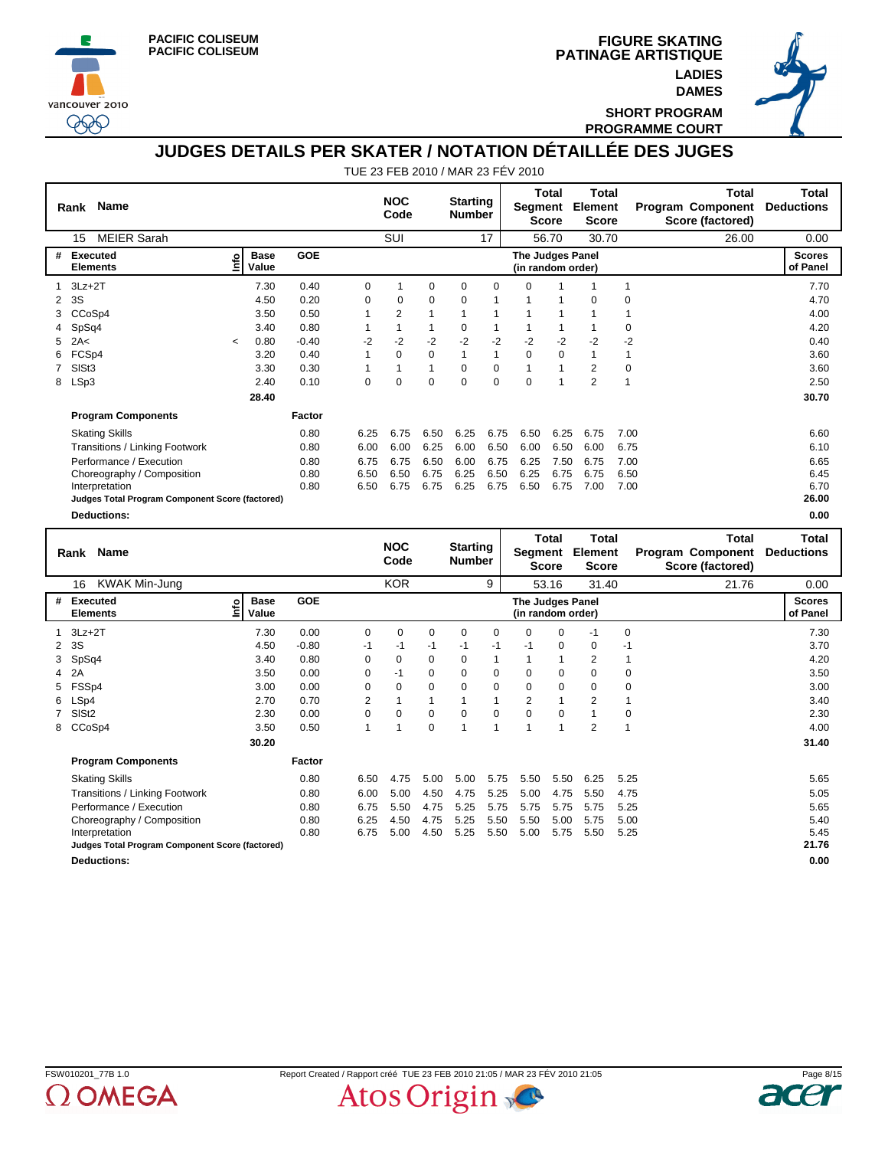





**SHORT PROGRAM PROGRAMME COURT**

## **JUDGES DETAILS PER SKATER / NOTATION DÉTAILLÉE DES JUGES**

|   | <b>Name</b><br>Rank                             |         |                      |            |              | <b>NOC</b><br>Code |              | <b>Starting</b><br><b>Number</b> |              | Segment                               | <b>Total</b><br><b>Score</b> | <b>Total</b><br><b>Element</b><br><b>Score</b> |             | <b>Total</b><br>Program Component<br>Score (factored) | Total<br><b>Deductions</b>        |
|---|-------------------------------------------------|---------|----------------------|------------|--------------|--------------------|--------------|----------------------------------|--------------|---------------------------------------|------------------------------|------------------------------------------------|-------------|-------------------------------------------------------|-----------------------------------|
|   | <b>MEIER Sarah</b><br>15                        |         |                      |            |              | <b>SUI</b>         |              |                                  | 17           |                                       | 56.70                        | 30.70                                          |             | 26.00                                                 | 0.00                              |
| # | <b>Executed</b><br><b>Elements</b>              | ۴o      | <b>Base</b><br>Value | <b>GOE</b> |              |                    |              |                                  |              | The Judges Panel<br>(in random order) |                              |                                                |             |                                                       | <b>Scores</b><br>of Panel         |
|   | $3Lz + 2T$                                      |         | 7.30                 | 0.40       | 0            |                    | $\mathbf 0$  | 0                                | 0            | $\Omega$                              |                              |                                                | 1           |                                                       | 7.70                              |
| 2 | 3S                                              |         | 4.50                 | 0.20       | 0            | $\mathbf 0$        | $\mathbf 0$  | 0                                |              |                                       |                              | 0                                              | 0           |                                                       | 4.70                              |
| 3 | CCoSp4                                          |         | 3.50                 | 0.50       | 1            | $\overline{2}$     | $\mathbf{1}$ | 1                                | 1            |                                       | $\overline{1}$               | 1                                              | 1           |                                                       | 4.00                              |
| 4 | SpSq4                                           |         | 3.40                 | 0.80       | 1            | 1                  | 1            | 0                                | $\mathbf{1}$ |                                       | 1                            |                                                | 0           |                                                       | 4.20                              |
| 5 | 2A<                                             | $\prec$ | 0.80                 | $-0.40$    | $-2$         | $-2$               | $-2$         | $-2$                             | $-2$         | $-2$                                  | $-2$                         | $-2$                                           | $-2$        |                                                       | 0.40                              |
|   | FCSp4                                           |         | 3.20                 | 0.40       |              | 0                  | 0            | 1                                | 1            | 0                                     | 0                            | 1                                              | 1           |                                                       | 3.60                              |
|   | SISt <sub>3</sub>                               |         | 3.30                 | 0.30       | $\mathbf{1}$ | 1                  | 1            | $\Omega$                         | $\mathbf 0$  | 1                                     | $\mathbf{1}$                 | 2                                              | $\mathbf 0$ |                                                       | 3.60                              |
| 8 | LSp3                                            |         | 2.40                 | 0.10       | 0            | 0                  | $\Omega$     | $\Omega$                         | $\mathbf 0$  | $\Omega$                              | $\overline{1}$               | $\overline{2}$                                 | 1           |                                                       | 2.50                              |
|   |                                                 |         | 28.40                |            |              |                    |              |                                  |              |                                       |                              |                                                |             |                                                       | 30.70                             |
|   | <b>Program Components</b>                       |         |                      | Factor     |              |                    |              |                                  |              |                                       |                              |                                                |             |                                                       |                                   |
|   | <b>Skating Skills</b>                           |         |                      | 0.80       | 6.25         | 6.75               | 6.50         | 6.25                             | 6.75         | 6.50                                  | 6.25                         | 6.75                                           | 7.00        |                                                       | 6.60                              |
|   | Transitions / Linking Footwork                  |         |                      | 0.80       | 6.00         | 6.00               | 6.25         | 6.00                             | 6.50         | 6.00                                  | 6.50                         | 6.00                                           | 6.75        |                                                       | 6.10                              |
|   | Performance / Execution                         |         |                      | 0.80       | 6.75         | 6.75               | 6.50         | 6.00                             | 6.75         | 6.25                                  | 7.50                         | 6.75                                           | 7.00        |                                                       | 6.65                              |
|   | Choreography / Composition                      |         |                      | 0.80       | 6.50         | 6.50               | 6.75         | 6.25                             | 6.50         | 6.25                                  | 6.75                         | 6.75                                           | 6.50        |                                                       | 6.45                              |
|   | Interpretation                                  |         |                      | 0.80       | 6.50         | 6.75               | 6.75         | 6.25                             | 6.75         | 6.50                                  | 6.75                         | 7.00                                           | 7.00        |                                                       | 6.70                              |
|   | Judges Total Program Component Score (factored) |         |                      |            |              |                    |              |                                  |              |                                       |                              |                                                |             |                                                       | 26.00                             |
|   | <b>Deductions:</b>                              |         |                      |            |              |                    |              |                                  |              |                                       |                              |                                                |             |                                                       | 0.00                              |
|   | <b>Name</b><br>Rank                             |         |                      |            |              | <b>NOC</b><br>Code |              | <b>Starting</b><br><b>Number</b> |              | Segment                               | <b>Total</b><br><b>Score</b> | <b>Total</b><br>Element<br><b>Score</b>        |             | <b>Total</b><br>Program Component<br>Score (factored) | <b>Total</b><br><b>Deductions</b> |
|   | <b>KWAK Min-Jung</b><br>16                      |         |                      |            |              | <b>KOR</b>         |              |                                  | 9            |                                       | 53.16                        | 31.40                                          |             | 21.76                                                 | 0.00                              |
|   |                                                 |         |                      |            |              |                    |              |                                  |              |                                       |                              |                                                |             |                                                       |                                   |

|   | 16<br>KWAK Min-Jung                             |                            |            |                                       | <b>KOR</b> |      |          | 9              |                | 53.16 | 31.40          |             | 21.76 | 0.00                      |
|---|-------------------------------------------------|----------------------------|------------|---------------------------------------|------------|------|----------|----------------|----------------|-------|----------------|-------------|-------|---------------------------|
| # | Executed<br><b>Elements</b>                     | <b>Base</b><br>۴ò<br>Value | <b>GOE</b> | The Judges Panel<br>(in random order) |            |      |          |                |                |       |                |             |       | <b>Scores</b><br>of Panel |
|   | $3Lz + 2T$                                      | 7.30                       | 0.00       | 0                                     | 0          | 0    | 0        | 0              | $\mathbf 0$    | 0     | -1             | $\mathbf 0$ |       | 7.30                      |
|   | 2 3S                                            | 4.50                       | $-0.80$    | $-1$                                  | -1         | $-1$ | $-1$     | -1             | -1             | 0     | $\Omega$       | $-1$        |       | 3.70                      |
|   | 3 SpSq4                                         | 3.40                       | 0.80       | $\Omega$                              | $\Omega$   | 0    | $\Omega$ | 1              |                | 1     | 2              | 1           |       | 4.20                      |
|   | 4 2A                                            | 3.50                       | 0.00       | 0                                     | -1         | 0    | $\Omega$ | 0              | $\mathbf 0$    | 0     | $\Omega$       | $\mathbf 0$ |       | 3.50                      |
|   | 5 FSSp4                                         | 3.00                       | 0.00       | 0                                     | $\Omega$   | 0    | $\Omega$ | $\mathbf 0$    | $\mathbf 0$    | 0     | 0              | 0           |       | 3.00                      |
|   | 6 LSp4                                          | 2.70                       | 0.70       | $\overline{2}$                        |            | 1    |          | 1              | $\overline{2}$ | 1     | 2              |             |       | 3.40                      |
|   | SISt <sub>2</sub>                               | 2.30                       | 0.00       | $\Omega$                              | $\Omega$   | 0    | $\Omega$ | 0              | $\Omega$       | 0     |                | $\mathbf 0$ |       | 2.30                      |
|   | 8 CCoSp4                                        | 3.50                       | 0.50       |                                       |            | 0    |          | $\overline{ }$ |                | и     | $\overline{2}$ |             |       | 4.00                      |
|   |                                                 | 30.20                      |            |                                       |            |      |          |                |                |       |                |             |       | 31.40                     |
|   | <b>Program Components</b>                       |                            | Factor     |                                       |            |      |          |                |                |       |                |             |       |                           |
|   | <b>Skating Skills</b>                           |                            | 0.80       | 6.50                                  | 4.75       | 5.00 | 5.00     | 5.75           | 5.50           | 5.50  | 6.25           | 5.25        |       | 5.65                      |
|   | Transitions / Linking Footwork                  |                            | 0.80       | 6.00                                  | 5.00       | 4.50 | 4.75     | 5.25           | 5.00           | 4.75  | 5.50           | 4.75        |       | 5.05                      |
|   | Performance / Execution                         |                            | 0.80       | 6.75                                  | 5.50       | 4.75 | 5.25     | 5.75           | 5.75           | 5.75  | 5.75           | 5.25        |       | 5.65                      |
|   | Choreography / Composition                      |                            | 0.80       | 6.25                                  | 4.50       | 4.75 | 5.25     | 5.50           | 5.50           | 5.00  | 5.75           | 5.00        |       | 5.40                      |
|   | Interpretation                                  |                            | 0.80       | 6.75                                  | 5.00       | 4.50 | 5.25     | 5.50           | 5.00           | 5.75  | 5.50           | 5.25        |       | 5.45                      |
|   | Judges Total Program Component Score (factored) |                            |            |                                       |            |      |          |                |                |       |                |             |       | 21.76                     |
|   | <b>Deductions:</b>                              |                            |            |                                       |            |      |          |                |                |       |                |             |       | 0.00                      |



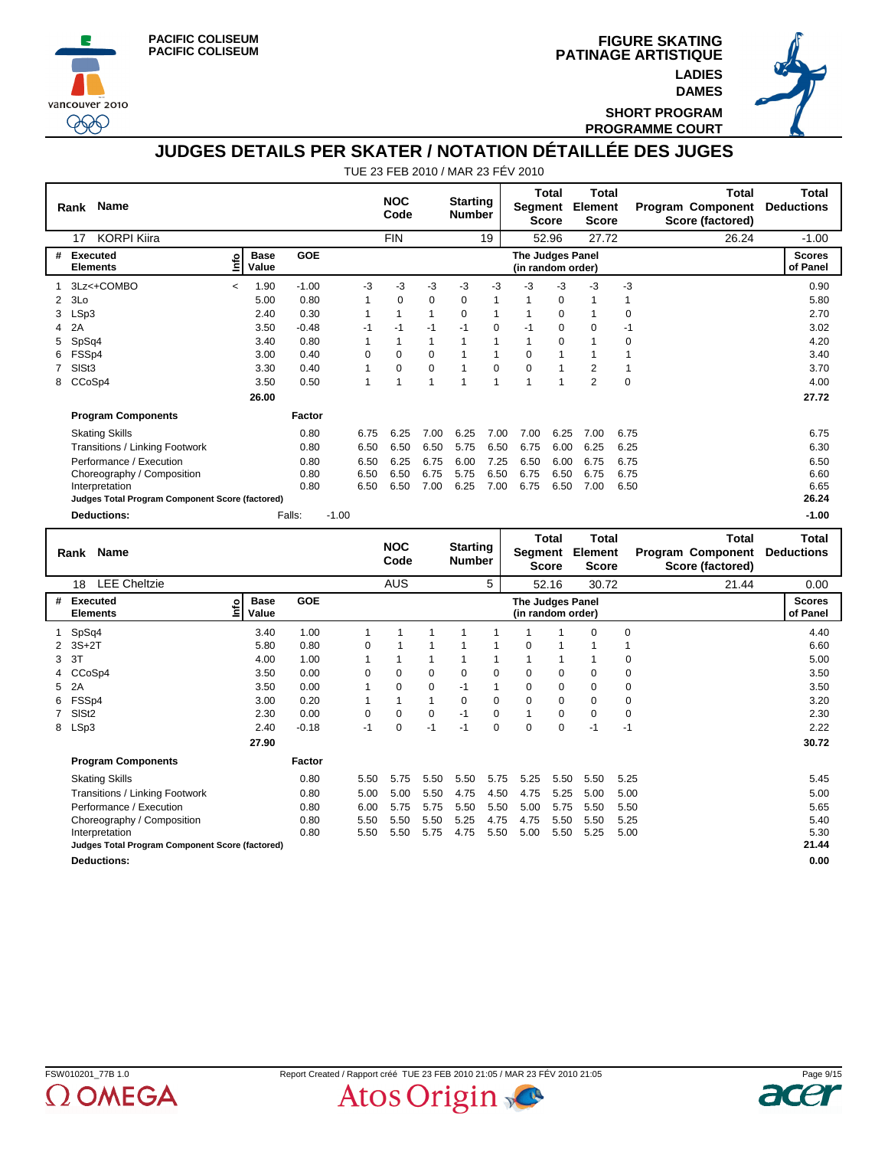



**PATINAGE ARTISTIQUE FIGURE SKATING LADIES DAMES**



**SHORT PROGRAM PROGRAMME COURT**

### **JUDGES DETAILS PER SKATER / NOTATION DÉTAILLÉE DES JUGES**

TUE 23 FEB 2010 / MAR 23 FÉV 2010

| <b>Name</b><br>Rank                             |                          |                      |              |                |            | <b>NOC</b><br>Code |              | <b>Starting</b><br><b>Number</b> |              |                                       | Total<br><b>Score</b> | Total<br>Segment Element<br><b>Score</b> |              | Total<br><b>Program Component</b><br>Score (factored) | Total<br><b>Deductions</b> |
|-------------------------------------------------|--------------------------|----------------------|--------------|----------------|------------|--------------------|--------------|----------------------------------|--------------|---------------------------------------|-----------------------|------------------------------------------|--------------|-------------------------------------------------------|----------------------------|
| <b>KORPI Kiira</b><br>17                        |                          |                      |              |                | <b>FIN</b> |                    |              |                                  | 19           |                                       | 52.96                 | 27.72                                    |              | 26.24                                                 | $-1.00$                    |
| #<br><b>Executed</b><br><b>Elements</b>         | ۴ô                       | <b>Base</b><br>Value | <b>GOE</b>   |                |            |                    |              |                                  |              | The Judges Panel<br>(in random order) |                       |                                          |              |                                                       | <b>Scores</b><br>of Panel  |
| 3Lz<+COMBO<br>$\mathbf{1}$                      | $\overline{\phantom{a}}$ | 1.90                 | $-1.00$      | -3             |            | -3                 | -3           | -3                               | -3           | -3                                    | -3                    | -3                                       | $-3$         |                                                       | 0.90                       |
| 3Lo<br>2                                        |                          | 5.00                 | 0.80         | $\mathbf{1}$   |            | $\overline{0}$     | 0            | 0                                | $\mathbf{1}$ | $\mathbf{1}$                          | $\mathbf 0$           | $\mathbf{1}$                             | $\mathbf{1}$ |                                                       | 5.80                       |
| LSp3<br>3                                       |                          | 2.40                 | 0.30         | 1              |            | $\mathbf{1}$       | $\mathbf{1}$ | $\Omega$                         | $\mathbf{1}$ | 1                                     | $\Omega$              | $\mathbf{1}$                             | 0            |                                                       | 2.70                       |
| 2A<br>4                                         |                          | 3.50                 | $-0.48$      | $-1$           |            | $-1$               | $-1$         | $-1$                             | $\mathbf 0$  | $-1$                                  | 0                     | $\mathbf 0$                              | $-1$         |                                                       | 3.02                       |
| SpSq4<br>5                                      |                          | 3.40                 | 0.80         | 1              |            | $\mathbf{1}$       | $\mathbf{1}$ | $\mathbf{1}$                     | 1            | 1                                     | 0                     | $\mathbf{1}$                             | 0            |                                                       | 4.20                       |
| FSSp4<br>6                                      |                          | 3.00                 | 0.40         | $\overline{0}$ |            | 0                  | 0            | $\mathbf{1}$                     | $\mathbf{1}$ | $\mathbf 0$                           | $\mathbf{1}$          | $\mathbf{1}$                             | 1            |                                                       | 3.40                       |
| SISt <sub>3</sub><br>$\overline{7}$             |                          | 3.30                 | 0.40         | 1              |            | 0                  | 0            | $\mathbf{1}$                     | $\mathbf 0$  | $\mathbf 0$                           | $\mathbf{1}$          | $\overline{2}$                           | 1            |                                                       | 3.70                       |
| CCoSp4<br>8                                     |                          | 3.50                 | 0.50         | 1              |            | 1                  | 1            | $\mathbf{1}$                     | 1            | 1                                     | $\mathbf{1}$          | $\overline{2}$                           | $\Omega$     |                                                       | 4.00                       |
|                                                 |                          | 26.00                |              |                |            |                    |              |                                  |              |                                       |                       |                                          |              |                                                       | 27.72                      |
| <b>Program Components</b>                       |                          |                      | Factor       |                |            |                    |              |                                  |              |                                       |                       |                                          |              |                                                       |                            |
| <b>Skating Skills</b>                           |                          |                      | 0.80         | 6.75           |            | 6.25               | 7.00         | 6.25                             | 7.00         | 7.00                                  | 6.25                  | 7.00                                     | 6.75         |                                                       | 6.75                       |
| Transitions / Linking Footwork                  |                          |                      | 0.80         | 6.50           |            | 6.50               | 6.50         | 5.75                             | 6.50         | 6.75                                  | 6.00                  | 6.25                                     | 6.25         |                                                       | 6.30                       |
| Performance / Execution                         |                          |                      | 0.80         | 6.50           |            | 6.25               | 6.75         | 6.00                             | 7.25         | 6.50                                  | 6.00                  | 6.75                                     | 6.75         |                                                       | 6.50                       |
| Choreography / Composition                      |                          |                      | 0.80         | 6.50           |            | 6.50               | 6.75         | 5.75                             | 6.50         | 6.75                                  | 6.50                  | 6.75                                     | 6.75         |                                                       | 6.60                       |
| Interpretation                                  |                          |                      | 0.80         | 6.50           |            | 6.50               | 7.00         | 6.25                             | 7.00         | 6.75                                  | 6.50                  | 7.00                                     | 6.50         |                                                       | 6.65                       |
| Judges Total Program Component Score (factored) |                          |                      |              |                |            |                    |              |                                  |              |                                       |                       |                                          |              |                                                       | 26.24                      |
| <b>Deductions:</b>                              |                          |                      | Falls:       | $-1.00$        |            |                    |              |                                  |              |                                       |                       |                                          |              |                                                       | $-1.00$                    |
|                                                 |                          |                      |              |                |            |                    |              |                                  |              |                                       |                       |                                          |              |                                                       |                            |
|                                                 |                          |                      |              |                |            |                    |              |                                  |              |                                       | <b>Total</b>          | <b>Total</b>                             |              | <b>Total</b>                                          | <b>Total</b>               |
| Name<br>Rank                                    |                          |                      |              |                |            | <b>NOC</b><br>Code |              | <b>Starting</b><br><b>Number</b> |              |                                       | <b>Score</b>          | Segment Element<br><b>Score</b>          |              | Program Component<br>Score (factored)                 | <b>Deductions</b>          |
| <b>LEE Cheltzie</b><br>18                       |                          |                      |              |                |            | <b>AUS</b>         |              |                                  | 5            |                                       | 52.16                 | 30.72                                    |              | 21.44                                                 | 0.00                       |
| Executed<br>#<br><b>Elements</b>                | ١ů                       | <b>Base</b><br>Value | <b>GOE</b>   |                |            |                    |              |                                  |              | The Judges Panel<br>(in random order) |                       |                                          |              |                                                       | <b>Scores</b><br>of Panel  |
| SpSq4<br>1                                      |                          | 3.40                 | 1.00         | 1              |            | $\mathbf{1}$       | 1            | $\mathbf{1}$                     | 1            | 1                                     | 1                     | $\mathbf 0$                              | 0            |                                                       | 4.40                       |
| $\overline{2}$<br>$3S+2T$                       |                          | 5.80                 | 0.80         | $\Omega$       |            | $\mathbf{1}$       | $\mathbf{1}$ | $\mathbf{1}$                     | $\mathbf{1}$ | $\Omega$                              | $\mathbf{1}$          | $\mathbf{1}$                             | $\mathbf{1}$ |                                                       | 6.60                       |
| 3T<br>3                                         |                          | 4.00                 | 1.00         | 1              |            | $\mathbf{1}$       | 1            | $\mathbf{1}$                     | 1            | 1                                     | 1                     | $\mathbf{1}$                             | 0            |                                                       | 5.00                       |
| CCoSp4<br>4                                     |                          | 3.50                 | 0.00         | 0              |            | 0                  | 0            | 0                                | $\mathbf 0$  | $\Omega$                              | 0                     | $\mathbf 0$                              | 0            |                                                       | 3.50                       |
| 5<br>2A                                         |                          | 3.50                 | 0.00         | 1              |            | 0                  | 0            | $-1$                             | 1            | 0                                     | $\overline{0}$        | $\mathbf 0$                              | 0            |                                                       | 3.50                       |
| FSSp4<br>6                                      |                          | 3.00                 | 0.20         | 1              |            | 1                  | 1            | $\Omega$                         | $\Omega$     | $\Omega$                              | $\Omega$              | $\Omega$                                 | 0            |                                                       | 3.20                       |
| SIS <sub>t2</sub><br>$\overline{7}$             |                          | 2.30                 | 0.00         | $\Omega$       |            | $\Omega$           | 0            | $-1$                             | $\Omega$     | 1                                     | $\Omega$              | $\Omega$                                 | $\mathbf 0$  |                                                       | 2.30                       |
| LSp3<br>8                                       |                          | 2.40                 | $-0.18$      | $-1$           |            | 0                  | $-1$         | $-1$                             | $\Omega$     | $\Omega$                              | $\Omega$              | $-1$                                     | $-1$         |                                                       | 2.22                       |
|                                                 |                          | 27.90                |              |                |            |                    |              |                                  |              |                                       |                       |                                          |              |                                                       | 30.72                      |
| <b>Program Components</b>                       |                          |                      | Factor       |                |            |                    |              |                                  |              |                                       |                       |                                          |              |                                                       |                            |
| <b>Skating Skills</b>                           |                          |                      | 0.80         | 5.50           |            | 5.75               | 5.50         | 5.50                             | 5.75         | 5.25                                  | 5.50                  | 5.50                                     | 5.25         |                                                       | 5.45                       |
| Transitions / Linking Footwork                  |                          |                      | 0.80         | 5.00           |            | 5.00               | 5.50         | 4.75                             | 4.50         | 4.75                                  | 5.25                  | 5.00                                     | 5.00         |                                                       | 5.00                       |
| Performance / Execution                         |                          |                      | 0.80         | 6.00           |            | 5.75               | 5.75         | 5.50                             | 5.50         | 5.00                                  | 5.75                  | 5.50                                     | 5.50         |                                                       | 5.65                       |
| Choreography / Composition<br>Interpretation    |                          |                      | 0.80<br>0.80 | 5.50<br>5.50   |            | 5.50<br>5.50       | 5.50<br>5.75 | 5.25<br>4.75                     | 4.75<br>5.50 | 4.75<br>5.00                          | 5.50<br>5.50          | 5.50<br>5.25                             | 5.25<br>5.00 |                                                       | 5.40<br>5.30               |

**Deductions: 0.00**



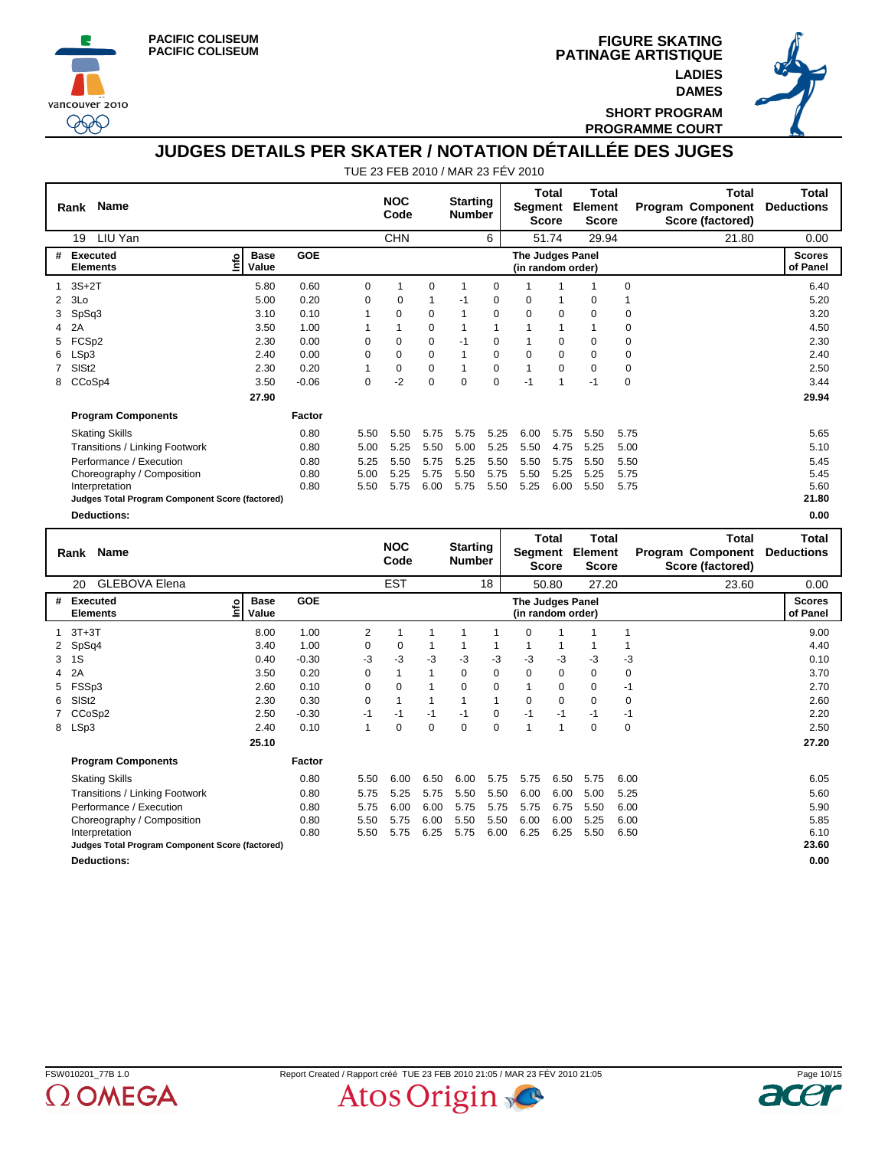



**PATINAGE ARTISTIQUE FIGURE SKATING LADIES DAMES**



**SHORT PROGRAM PROGRAMME COURT**

### **JUDGES DETAILS PER SKATER / NOTATION DÉTAILLÉE DES JUGES**

TUE 23 FEB 2010 / MAR 23 FÉV 2010

|   | Name<br>Rank                                    |                            |            |          | <b>NOC</b><br>Code |          | <b>Starting</b><br><b>Number</b> |             | Segment                                      | <b>Total</b><br><b>Score</b> | <b>Total</b><br>Element<br><b>Score</b>        |             | <b>Total</b><br><b>Program Component</b><br>Score (factored) | <b>Total</b><br><b>Deductions</b> |
|---|-------------------------------------------------|----------------------------|------------|----------|--------------------|----------|----------------------------------|-------------|----------------------------------------------|------------------------------|------------------------------------------------|-------------|--------------------------------------------------------------|-----------------------------------|
|   | LIU Yan<br>19                                   |                            |            |          | <b>CHN</b>         |          |                                  | 6           |                                              | 51.74                        | 29.94                                          |             | 21.80                                                        | 0.00                              |
| # | Executed<br><b>Elements</b>                     | <b>Base</b><br>۴<br>Value  | GOE        |          |                    |          |                                  |             | <b>The Judges Panel</b><br>(in random order) |                              |                                                |             |                                                              | <b>Scores</b><br>of Panel         |
| 1 | $3S+2T$                                         | 5.80                       | 0.60       | 0        | 1                  | 0        | -1                               | 0           | 1                                            | 1                            | 1                                              | 0           |                                                              | 6.40                              |
| 2 | 3Lo                                             | 5.00                       | 0.20       | 0        | $\mathbf 0$        | 1        | $-1$                             | $\mathbf 0$ | 0                                            | 1                            | 0                                              | 1           |                                                              | 5.20                              |
| 3 | SpSq3                                           | 3.10                       | 0.10       | 1        | 0                  | 0        |                                  | 0           | 0                                            | $\mathbf 0$                  | $\mathbf 0$                                    | 0           |                                                              | 3.20                              |
| 4 | 2A                                              | 3.50                       | 1.00       | 1        | 1                  | 0        | 1                                | 1           |                                              | $\mathbf{1}$                 |                                                | 0           |                                                              | 4.50                              |
| 5 | FCSp2                                           | 2.30                       | 0.00       | $\Omega$ | $\Omega$           | 0        | $-1$                             | 0           | 1                                            | $\mathbf 0$                  | $\Omega$                                       | 0           |                                                              | 2.30                              |
| 6 | LSp3                                            | 2.40                       | 0.00       | $\Omega$ | $\Omega$           | $\Omega$ | 1                                | 0           | $\Omega$                                     | $\Omega$                     | $\Omega$                                       | 0           |                                                              | 2.40                              |
|   | SIS <sub>t2</sub>                               | 2.30                       | 0.20       | 1        | 0                  | 0        | 1                                | 0           | 1                                            | $\mathbf 0$                  | 0                                              | 0           |                                                              | 2.50                              |
| 8 | CCoSp4                                          | 3.50                       | $-0.06$    | 0        | $-2$               | $\Omega$ | $\Omega$                         | $\Omega$    | $-1$                                         | $\mathbf{1}$                 | $-1$                                           | $\mathbf 0$ |                                                              | 3.44                              |
|   |                                                 | 27.90                      |            |          |                    |          |                                  |             |                                              |                              |                                                |             |                                                              | 29.94                             |
|   | <b>Program Components</b>                       |                            | Factor     |          |                    |          |                                  |             |                                              |                              |                                                |             |                                                              |                                   |
|   | <b>Skating Skills</b>                           |                            | 0.80       | 5.50     | 5.50               | 5.75     | 5.75                             | 5.25        | 6.00                                         | 5.75                         | 5.50                                           | 5.75        |                                                              | 5.65                              |
|   | Transitions / Linking Footwork                  |                            | 0.80       | 5.00     | 5.25               | 5.50     | 5.00                             | 5.25        | 5.50                                         | 4.75                         | 5.25                                           | 5.00        |                                                              | 5.10                              |
|   | Performance / Execution                         |                            | 0.80       | 5.25     | 5.50               | 5.75     | 5.25                             | 5.50        | 5.50                                         | 5.75                         | 5.50                                           | 5.50        |                                                              | 5.45                              |
|   | Choreography / Composition                      |                            | 0.80       | 5.00     | 5.25               | 5.75     | 5.50                             | 5.75        | 5.50                                         | 5.25                         | 5.25                                           | 5.75        |                                                              | 5.45                              |
|   | Interpretation                                  |                            | 0.80       | 5.50     | 5.75               | 6.00     | 5.75                             | 5.50        | 5.25                                         | 6.00                         | 5.50                                           | 5.75        |                                                              | 5.60                              |
|   | Judges Total Program Component Score (factored) |                            |            |          |                    |          |                                  |             |                                              |                              |                                                |             |                                                              | 21.80                             |
|   | <b>Deductions:</b>                              |                            |            |          |                    |          |                                  |             |                                              |                              |                                                |             |                                                              | 0.00                              |
|   | Name<br>Rank                                    |                            |            |          | <b>NOC</b><br>Code |          | <b>Starting</b><br><b>Number</b> |             | Segment                                      | <b>Total</b><br><b>Score</b> | <b>Total</b><br><b>Element</b><br><b>Score</b> |             | <b>Total</b><br><b>Program Component</b><br>Score (factored) | <b>Total</b><br><b>Deductions</b> |
|   | <b>GLEBOVA Elena</b><br>20                      |                            |            |          | <b>EST</b>         |          |                                  | 18          |                                              | 50.80                        | 27.20                                          |             | 23.60                                                        | 0.00                              |
| # | Executed<br><b>Elements</b>                     | <b>Base</b><br>ដំ<br>Value | <b>GOE</b> |          |                    |          |                                  |             | The Judges Panel<br>(in random order)        |                              |                                                |             |                                                              | <b>Scores</b><br>of Panel         |
| 1 | $3T+3T$                                         | 8.00                       | 1.00       | 2        | 1                  | 1        | $\mathbf 1$                      | 1           | 0                                            | 1                            | 1                                              | $\mathbf 1$ |                                                              | 9.00                              |

 SpSq4 3.40 1.00 0 0 1 1 1 1 1 1 1 4.40 1S 0.40 -0.30 -3 -3 -3 -3 -3 -3 -3 -3 -3 0.10 2A 3.50 0.20 0 1 1 0 0 0 0 0 0 3.70 FSSp3 2.60 0.10 0 0 1 0 0 1 0 0 -1 2.70 SlSt2 2.30 0.30 0 1111 0 0 0 0 2.60 CCoSp2 2.50 -0.30 -1 -1 -1 -1 0 -1 -1 -1 -1 2.20 8 LSp3 2.40 0.10 1 0 0 0 0 1 1 0 0 2.50

> 6.00 6.50 6.00 5.75 5.75 6.50 5.75 6.00 5.25 5.75 5.50 5.50 6.00 6.00 5.00 5.25 6.00 6.00 5.75 5.75 5.75 6.75 5.50 6.00

| Choreography / Composition                      | 0.80 | 5.50 |      | 5.75 6.00 5.50 5.50 6.00 6.00 5.25 |                |  |      | 6.00 | 5.85  |
|-------------------------------------------------|------|------|------|------------------------------------|----------------|--|------|------|-------|
| Interpretation                                  | 0.8C | 5.50 | 5.75 | 6.25 5.75                          | 6.00 6.25 6.25 |  | 5.50 | 6.50 | 6.10  |
| Judges Total Program Component Score (factored) |      |      |      |                                    |                |  |      |      | 23.60 |

**25.10**

**Factor** 

0.80 0.80  $0.80$ <br> $0.80$  5.50 5.75 5.75

**Deductions: 0.00**

Skating Skills

**Program Components** 

Transitions / Linking Footwork Performance / Execution





**27.20**

6.05 5.60 5.90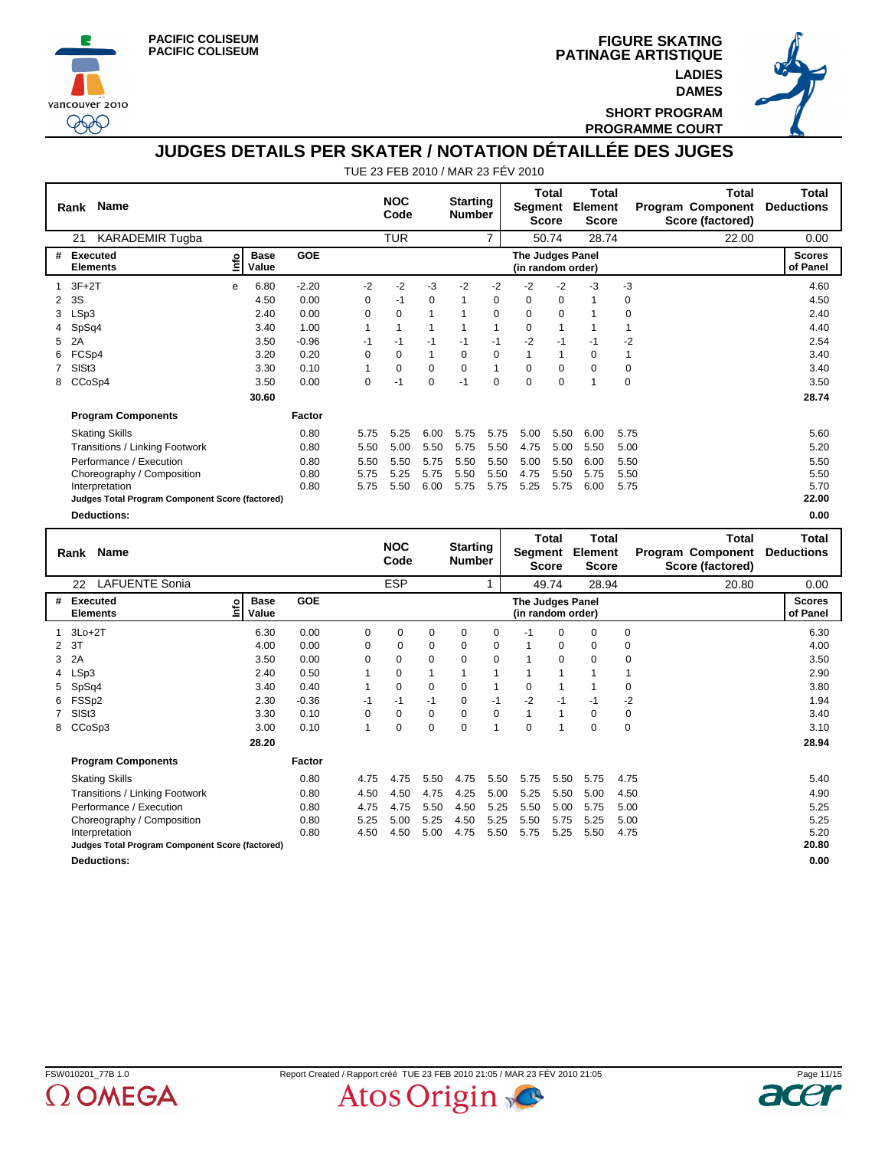





**SHORT PROGRAM PROGRAMME COURT**

## **JUDGES DETAILS PER SKATER / NOTATION DÉTAILLÉE DES JUGES**

|   | <b>Name</b><br>Rank                                            |    |                      |            |          | <b>NOC</b><br>Code |              | <b>Starting</b><br><b>Number</b> |                | Segment                               | <b>Total</b><br><b>Score</b> | <b>Total</b><br>Element<br><b>Score</b> |               | <b>Total</b><br><b>Program Component</b><br>Score (factored) | Total<br><b>Deductions</b> |
|---|----------------------------------------------------------------|----|----------------------|------------|----------|--------------------|--------------|----------------------------------|----------------|---------------------------------------|------------------------------|-----------------------------------------|---------------|--------------------------------------------------------------|----------------------------|
|   | <b>KARADEMIR Tugba</b><br>21                                   |    |                      |            |          | <b>TUR</b>         |              |                                  | $\overline{7}$ |                                       | 50.74                        | 28.74                                   |               | 22.00                                                        | 0.00                       |
| # | Executed<br><b>Elements</b>                                    | ۴ů | <b>Base</b><br>Value | <b>GOE</b> |          |                    |              |                                  |                | The Judges Panel<br>(in random order) |                              |                                         |               |                                                              | <b>Scores</b><br>of Panel  |
|   | $3F+2T$                                                        | e  | 6.80                 | $-2.20$    | $-2$     | $-2$               | -3           | $-2$                             | $-2$           | $-2$                                  | $-2$                         | -3                                      | $-3$          |                                                              | 4.60                       |
| 2 | 3S                                                             |    | 4.50                 | 0.00       | $\Omega$ | $-1$               | $\Omega$     | $\overline{1}$                   | $\Omega$       | 0                                     | $\Omega$                     | $\mathbf{1}$                            | 0             |                                                              | 4.50                       |
| 3 | LSp3                                                           |    | 2.40                 | 0.00       | $\Omega$ | $\Omega$           | $\mathbf{1}$ | $\overline{1}$                   | $\Omega$       | $\Omega$                              | $\Omega$                     | 1                                       | 0             |                                                              | 2.40                       |
|   | SpSq4                                                          |    | 3.40                 | 1.00       | 1        |                    | 1            |                                  | 1              | $\Omega$                              | $\mathbf{1}$                 | 1                                       | 1             |                                                              | 4.40                       |
| 5 | 2A                                                             |    | 3.50                 | $-0.96$    | $-1$     | $-1$               | $-1$         | $-1$                             | $-1$           | $-2$                                  | $-1$                         | -1                                      | $-2$          |                                                              | 2.54                       |
|   | FCSp4                                                          |    | 3.20                 | 0.20       | $\Omega$ | $\Omega$           | 1            | $\Omega$                         | $\Omega$       | 1                                     | $\mathbf{1}$                 | $\Omega$                                | 1             |                                                              | 3.40                       |
|   | SISt3                                                          |    | 3.30                 | 0.10       | 1        | $\Omega$           | $\Omega$     | $\Omega$                         | $\mathbf{1}$   | $\Omega$                              | $\mathbf 0$                  | $\Omega$                                | 0             |                                                              | 3.40                       |
| 8 | CCoSp4                                                         |    | 3.50                 | 0.00       | $\Omega$ | $-1$               | $\Omega$     | $-1$                             | $\Omega$       | $\Omega$                              | $\Omega$                     | $\overline{ }$                          | 0             |                                                              | 3.50                       |
|   |                                                                |    | 30.60                |            |          |                    |              |                                  |                |                                       |                              |                                         |               |                                                              | 28.74                      |
|   | <b>Program Components</b>                                      |    |                      | Factor     |          |                    |              |                                  |                |                                       |                              |                                         |               |                                                              |                            |
|   | <b>Skating Skills</b>                                          |    |                      | 0.80       | 5.75     | 5.25               | 6.00         | 5.75                             | 5.75           | 5.00                                  | 5.50                         | 6.00                                    | 5.75          |                                                              | 5.60                       |
|   | Transitions / Linking Footwork                                 |    |                      | 0.80       | 5.50     | 5.00               | 5.50         | 5.75                             | 5.50           | 4.75                                  | 5.00                         | 5.50                                    | 5.00          |                                                              | 5.20                       |
|   | Performance / Execution                                        |    |                      | 0.80       | 5.50     | 5.50               | 5.75         | 5.50                             | 5.50           | 5.00                                  | 5.50                         | 6.00                                    | 5.50          |                                                              | 5.50                       |
|   | Choreography / Composition                                     |    |                      | 0.80       | 5.75     | 5.25               | 5.75         | 5.50                             | 5.50           | 4.75                                  | 5.50                         | 5.75                                    | 5.50          |                                                              | 5.50                       |
|   | Interpretation                                                 |    |                      | 0.80       | 5.75     | 5.50               | 6.00         | 5.75                             | 5.75           | 5.25                                  | 5.75                         | 6.00                                    | 5.75          |                                                              | 5.70                       |
|   | Judges Total Program Component Score (factored)                |    |                      |            |          |                    |              |                                  |                |                                       |                              |                                         |               |                                                              | 22.00                      |
|   | <b>Deductions:</b>                                             |    |                      |            |          |                    |              |                                  |                |                                       |                              |                                         |               |                                                              | 0.00                       |
|   |                                                                |    |                      |            |          |                    |              |                                  |                |                                       | Total                        | <b>Total</b>                            |               | <b>Total</b>                                                 | Total                      |
|   | Name<br>Rank                                                   |    |                      |            |          | <b>NOC</b><br>Code |              | <b>Starting</b><br><b>Number</b> |                | Segment                               | <b>Score</b>                 | Element<br><b>Score</b>                 |               | <b>Program Component</b><br>Score (factored)                 | <b>Deductions</b>          |
|   | <b>LAFUENTE Sonia</b><br>22                                    |    |                      |            |          | <b>ESP</b>         |              |                                  |                |                                       | 49.74                        | 28.94                                   |               | 20.80                                                        | 0.00                       |
| # | Executed<br><b>Base</b><br><b>GOE</b><br>The Judges Panel<br>٥ |    |                      |            |          |                    |              |                                  |                |                                       |                              |                                         | <b>Scores</b> |                                                              |                            |

|   |                                                 |                           |            |      |          |             |      |      |                                       | .           |      |             | ---- |                           |
|---|-------------------------------------------------|---------------------------|------------|------|----------|-------------|------|------|---------------------------------------|-------------|------|-------------|------|---------------------------|
| # | Executed<br><b>Elements</b>                     | <b>Base</b><br>읩<br>Value | <b>GOE</b> |      |          |             |      |      | The Judges Panel<br>(in random order) |             |      |             |      | <b>Scores</b><br>of Panel |
|   | $3Lo+2T$                                        | 6.30                      | 0.00       | 0    | 0        | 0           | 0    | 0    | $-1$                                  | $\mathbf 0$ | 0    | 0           |      | 6.30                      |
| 2 | 3T                                              | 4.00                      | 0.00       | 0    | 0        | 0           | 0    | 0    |                                       | $\mathbf 0$ | 0    | 0           |      | 4.00                      |
| 3 | 2A                                              | 3.50                      | 0.00       | 0    | 0        | $\mathbf 0$ | 0    | 0    |                                       | 0           | 0    | $\mathbf 0$ |      | 3.50                      |
| 4 | LSp3                                            | 2.40                      | 0.50       |      | $\Omega$ |             |      |      |                                       |             |      |             |      | 2.90                      |
| 5 | SpSq4                                           | 3.40                      | 0.40       |      | 0        | 0           | 0    |      | $\mathbf 0$                           |             |      | 0           |      | 3.80                      |
| 6 | FSSp2                                           | 2.30                      | $-0.36$    | -1   | $-1$     | $-1$        | 0    | $-1$ | $-2$                                  | $-1$        | -1   | -2          |      | 1.94                      |
|   | SISt <sub>3</sub>                               | 3.30                      | 0.10       | 0    | $\Omega$ | 0           | 0    | 0    |                                       |             | 0    | 0           |      | 3.40                      |
| 8 | CCoSp3                                          | 3.00                      | 0.10       |      | 0        | $\mathbf 0$ | 0    |      | $\mathbf 0$                           |             | 0    | $\mathbf 0$ |      | 3.10                      |
|   |                                                 | 28.20                     |            |      |          |             |      |      |                                       |             |      |             |      | 28.94                     |
|   | <b>Program Components</b>                       |                           | Factor     |      |          |             |      |      |                                       |             |      |             |      |                           |
|   | <b>Skating Skills</b>                           |                           | 0.80       | 4.75 | 4.75     | 5.50        | 4.75 | 5.50 | 5.75                                  | 5.50        | 5.75 | 4.75        |      | 5.40                      |
|   | Transitions / Linking Footwork                  |                           | 0.80       | 4.50 | 4.50     | 4.75        | 4.25 | 5.00 | 5.25                                  | 5.50        | 5.00 | 4.50        |      | 4.90                      |
|   | Performance / Execution                         |                           | 0.80       | 4.75 | 4.75     | 5.50        | 4.50 | 5.25 | 5.50                                  | 5.00        | 5.75 | 5.00        |      | 5.25                      |
|   | Choreography / Composition                      |                           | 0.80       | 5.25 | 5.00     | 5.25        | 4.50 | 5.25 | 5.50                                  | 5.75        | 5.25 | 5.00        |      | 5.25                      |
|   | Interpretation                                  |                           | 0.80       | 4.50 | 4.50     | 5.00        | 4.75 | 5.50 | 5.75                                  | 5.25        | 5.50 | 4.75        |      | 5.20                      |
|   | Judges Total Program Component Score (factored) |                           |            |      |          |             |      |      |                                       |             |      |             |      | 20.80                     |
|   | <b>Deductions:</b>                              |                           |            |      |          |             |      |      |                                       |             |      |             |      | 0.00                      |



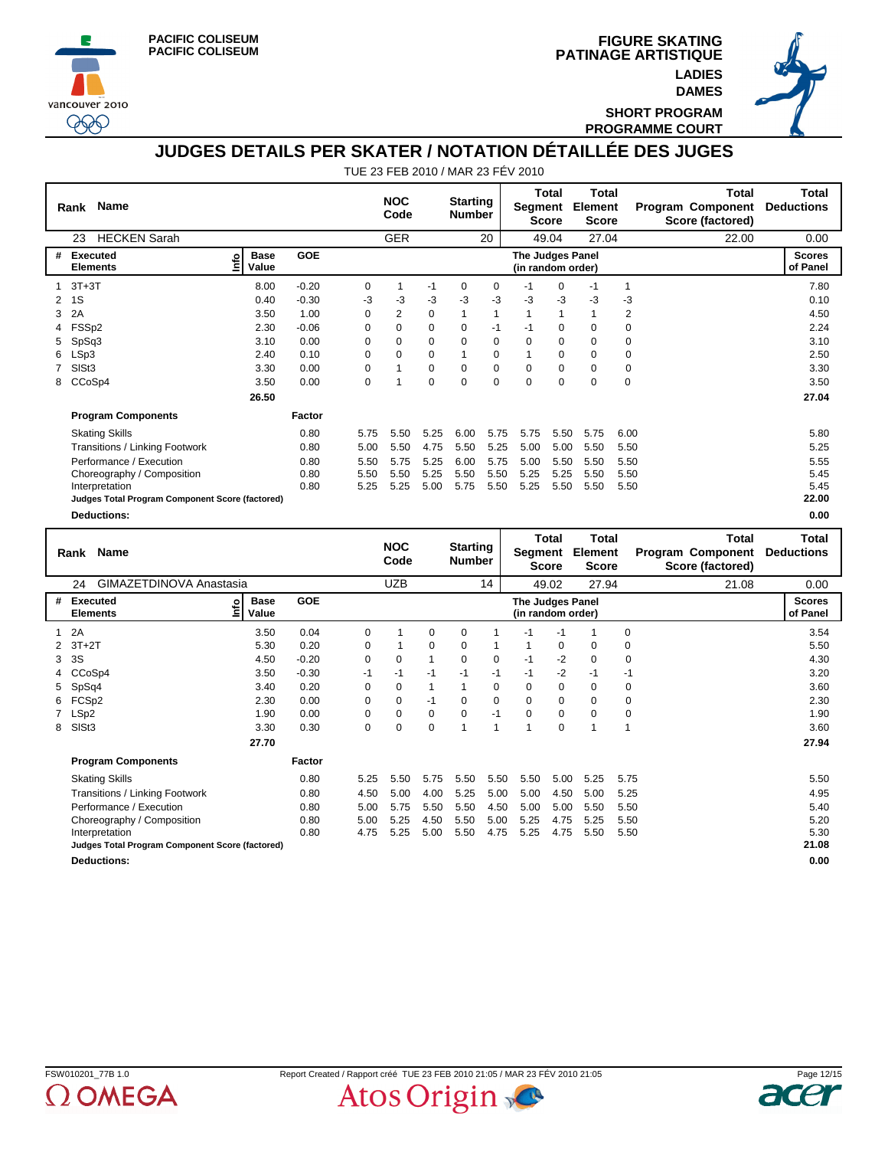





**SHORT PROGRAM PROGRAMME COURT**

## **JUDGES DETAILS PER SKATER / NOTATION DÉTAILLÉE DES JUGES**

|   | <b>Name</b><br>Rank                             |                            |         |          | <b>NOC</b><br>Code         |          | <b>Starting</b><br><b>Number</b> |                | Segment                                      | <b>Total</b><br><b>Score</b>       | <b>Total</b><br>Element<br><b>Score</b>          |                | <b>Total</b><br><b>Program Component</b><br>Score (factored)                  | Total<br><b>Deductions</b>         |
|---|-------------------------------------------------|----------------------------|---------|----------|----------------------------|----------|----------------------------------|----------------|----------------------------------------------|------------------------------------|--------------------------------------------------|----------------|-------------------------------------------------------------------------------|------------------------------------|
|   | <b>HECKEN Sarah</b><br>23                       |                            |         |          | <b>GER</b>                 |          |                                  | 20             |                                              | 49.04                              | 27.04                                            |                | 22.00                                                                         | 0.00                               |
| # | <b>Executed</b><br><b>Elements</b>              | <b>Base</b><br>۴o<br>Value | GOE     |          |                            |          |                                  |                | <b>The Judges Panel</b><br>(in random order) |                                    |                                                  |                |                                                                               | <b>Scores</b><br>of Panel          |
|   | $3T+3T$                                         | 8.00                       | $-0.20$ | 0        |                            | $-1$     | 0                                | 0              | $-1$                                         | 0                                  | $-1$                                             | 1              |                                                                               | 7.80                               |
| 2 | 1S                                              | 0.40                       | $-0.30$ | -3       | -3                         | -3       | -3                               | -3             | -3                                           | -3                                 | -3                                               | $-3$           |                                                                               | 0.10                               |
| 3 | 2A                                              | 3.50                       | 1.00    | $\Omega$ | 2                          | $\Omega$ | 1                                | 1              | 1                                            | $\mathbf{1}$                       | 1                                                | $\overline{2}$ |                                                                               | 4.50                               |
|   | FSSp2                                           | 2.30                       | $-0.06$ | $\Omega$ | $\Omega$                   | $\Omega$ | 0                                | $-1$           | $-1$                                         | 0                                  | 0                                                | 0              |                                                                               | 2.24                               |
| 5 | SpSq3                                           | 3.10                       | 0.00    | 0        | $\Omega$                   | $\Omega$ | 0                                | 0              | $\Omega$                                     | 0                                  | $\Omega$                                         | 0              |                                                                               | 3.10                               |
|   | LSp3                                            | 2.40                       | 0.10    | $\Omega$ | 0                          | 0        |                                  | 0              |                                              | 0                                  | 0                                                | 0              |                                                                               | 2.50                               |
|   | SISt3                                           | 3.30                       | 0.00    | $\Omega$ |                            | $\Omega$ | $\Omega$                         | $\Omega$       | $\Omega$                                     | $\Omega$                           | $\Omega$                                         | 0              |                                                                               | 3.30                               |
| 8 | CCoSp4                                          | 3.50                       | 0.00    | 0        |                            | 0        | 0                                | 0              | $\Omega$                                     | 0                                  | $\Omega$                                         | 0              |                                                                               | 3.50                               |
|   |                                                 | 26.50                      |         |          |                            |          |                                  |                |                                              |                                    |                                                  |                |                                                                               | 27.04                              |
|   | <b>Program Components</b>                       |                            | Factor  |          |                            |          |                                  |                |                                              |                                    |                                                  |                |                                                                               |                                    |
|   | <b>Skating Skills</b>                           |                            | 0.80    | 5.75     | 5.50                       | 5.25     | 6.00                             | 5.75           | 5.75                                         | 5.50                               | 5.75                                             | 6.00           |                                                                               | 5.80                               |
|   | Transitions / Linking Footwork                  |                            | 0.80    | 5.00     | 5.50                       | 4.75     | 5.50                             | 5.25           | 5.00                                         | 5.00                               | 5.50                                             | 5.50           |                                                                               | 5.25                               |
|   | Performance / Execution                         |                            | 0.80    | 5.50     | 5.75                       | 5.25     | 6.00                             | 5.75           | 5.00                                         | 5.50                               | 5.50                                             | 5.50           |                                                                               | 5.55                               |
|   | Choreography / Composition                      |                            | 0.80    | 5.50     | 5.50                       | 5.25     | 5.50                             | 5.50           | 5.25                                         | 5.25                               | 5.50                                             | 5.50           |                                                                               | 5.45                               |
|   | Interpretation                                  |                            | 0.80    | 5.25     | 5.25                       | 5.00     | 5.75                             | 5.50           | 5.25                                         | 5.50                               | 5.50                                             | 5.50           |                                                                               | 5.45                               |
|   | Judges Total Program Component Score (factored) |                            |         |          |                            |          |                                  |                |                                              |                                    |                                                  |                |                                                                               | 22.00                              |
|   | <b>Deductions:</b>                              |                            |         |          |                            |          |                                  |                |                                              |                                    |                                                  |                |                                                                               | 0.00                               |
|   | Rank Name<br>O[111177TINI]<br>$\sim$ $\lambda$  |                            |         |          | <b>NOC</b><br>Code<br>1.75 |          | <b>Starting</b><br><b>Number</b> | $\overline{A}$ | Segment                                      | Total<br><b>Score</b><br>$\sim$ 00 | <b>Total</b><br>Element<br><b>Score</b><br>27.01 |                | <b>Total</b><br><b>Program Component</b><br>Score (factored)<br>$\sim$ $\sim$ | Total<br><b>Deductions</b><br>0.00 |

|    | GIMAZETDINOVA Anastasia<br>24                     |                      |            |      | <b>UZB</b> |              |             | 14          |                                              | 49.02       | 27.94    |             | 21.08 | 0.00                      |
|----|---------------------------------------------------|----------------------|------------|------|------------|--------------|-------------|-------------|----------------------------------------------|-------------|----------|-------------|-------|---------------------------|
| #  | <b>Executed</b><br><u>lnfo</u><br><b>Elements</b> | <b>Base</b><br>Value | <b>GOE</b> |      |            |              |             |             | <b>The Judges Panel</b><br>(in random order) |             |          |             |       | <b>Scores</b><br>of Panel |
|    | 2A                                                | 3.50                 | 0.04       | 0    |            | 0            | $\Omega$    |             | -1                                           | -1          |          | 0           |       | 3.54                      |
| 2  | $3T+2T$                                           | 5.30                 | 0.20       | 0    |            | 0            | $\Omega$    |             |                                              | $\mathbf 0$ | $\Omega$ | $\mathbf 0$ |       | 5.50                      |
| 3  | 3S                                                | 4.50                 | $-0.20$    | 0    | 0          | 1            | 0           | 0           | -1                                           | $-2$        | 0        | 0           |       | 4.30                      |
|    | CCoSp4                                            | 3.50                 | $-0.30$    | $-1$ | $-1$       | $-1$         | $-1$        | $-1$        | $-1$                                         | $-2$        | $-1$     | $-1$        |       | 3.20                      |
| 5. | SpSq4                                             | 3.40                 | 0.20       | 0    | 0          | $\mathbf{1}$ |             | 0           | 0                                            | 0           | 0        | 0           |       | 3.60                      |
| 6  | FCSp2                                             | 2.30                 | 0.00       | 0    | $\Omega$   | $-1$         | 0           | $\mathbf 0$ | 0                                            | $\mathbf 0$ | $\Omega$ | 0           |       | 2.30                      |
|    | LSp2                                              | 1.90                 | 0.00       | 0    | 0          | 0            | $\mathbf 0$ | $-1$        | 0                                            | $\mathbf 0$ | $\Omega$ | $\mathbf 0$ |       | 1.90                      |
| 8  | SISt <sub>3</sub>                                 | 3.30                 | 0.30       | 0    | 0          | 0            |             |             |                                              | 0           |          |             |       | 3.60                      |
|    |                                                   | 27.70                |            |      |            |              |             |             |                                              |             |          |             |       | 27.94                     |
|    | <b>Program Components</b>                         |                      | Factor     |      |            |              |             |             |                                              |             |          |             |       |                           |
|    | <b>Skating Skills</b>                             |                      | 0.80       | 5.25 | 5.50       | 5.75         | 5.50        | 5.50        | 5.50                                         | 5.00        | 5.25     | 5.75        |       | 5.50                      |
|    | <b>Transitions / Linking Footwork</b>             |                      | 0.80       | 4.50 | 5.00       | 4.00         | 5.25        | 5.00        | 5.00                                         | 4.50        | 5.00     | 5.25        |       | 4.95                      |
|    | Performance / Execution                           |                      | 0.80       | 5.00 | 5.75       | 5.50         | 5.50        | 4.50        | 5.00                                         | 5.00        | 5.50     | 5.50        |       | 5.40                      |
|    | Choreography / Composition                        |                      | 0.80       | 5.00 | 5.25       | 4.50         | 5.50        | 5.00        | 5.25                                         | 4.75        | 5.25     | 5.50        |       | 5.20                      |
|    | Interpretation                                    |                      | 0.80       | 4.75 | 5.25       | 5.00         | 5.50        | 4.75        | 5.25                                         | 4.75        | 5.50     | 5.50        |       | 5.30                      |
|    | Judges Total Program Component Score (factored)   |                      |            |      |            |              |             |             |                                              |             |          |             |       | 21.08                     |
|    | <b>Deductions:</b>                                |                      |            |      |            |              |             |             |                                              |             |          |             |       | 0.00                      |



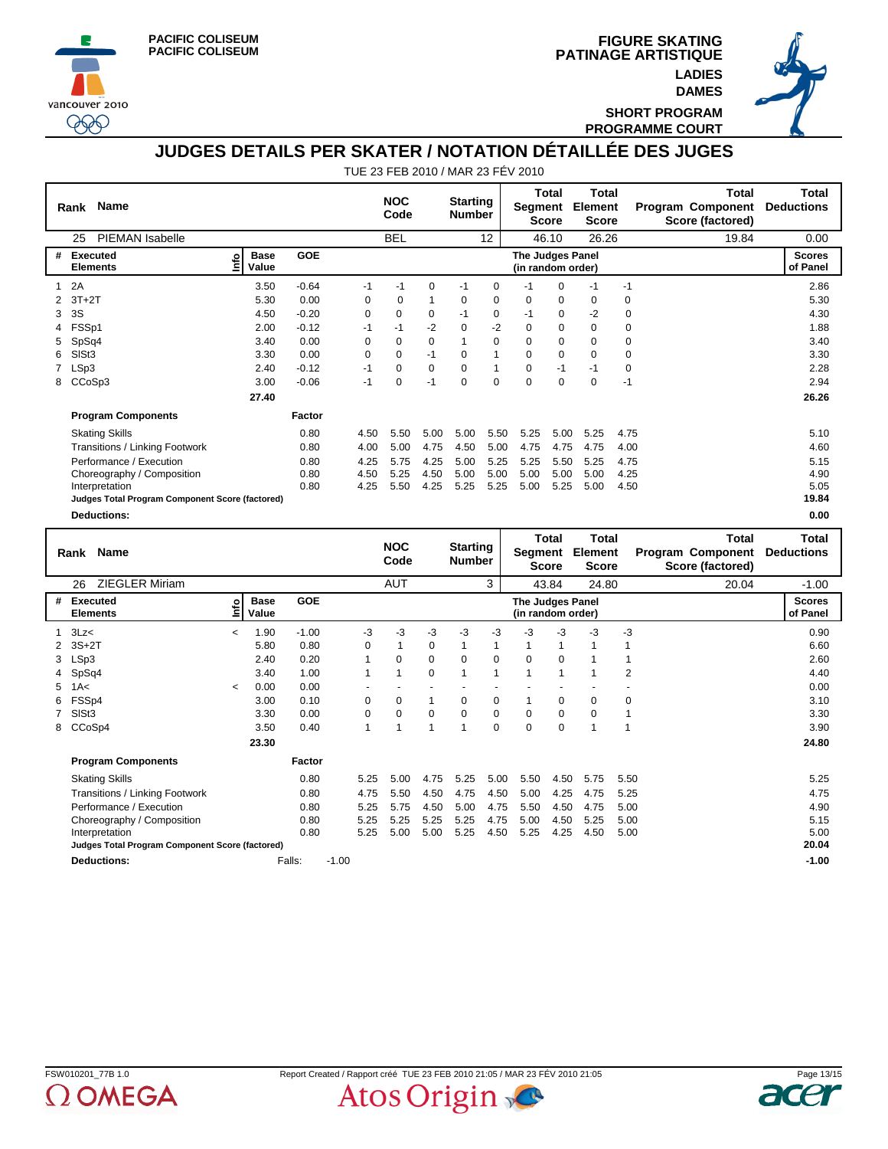





**SHORT PROGRAM PROGRAMME COURT**

# **JUDGES DETAILS PER SKATER / NOTATION DÉTAILLÉE DES JUGES**

|   | <b>Name</b><br>Rank                             |                                     |            |          | <b>NOC</b><br>Code |          | <b>Starting</b><br><b>Number</b> |          | Segment                                      | Total<br><b>Score</b>        | Total<br><b>Element</b><br><b>Score</b>        |             | Total<br><b>Program Component</b><br>Score (factored)        | <b>Total</b><br><b>Deductions</b> |
|---|-------------------------------------------------|-------------------------------------|------------|----------|--------------------|----------|----------------------------------|----------|----------------------------------------------|------------------------------|------------------------------------------------|-------------|--------------------------------------------------------------|-----------------------------------|
|   | <b>PIEMAN Isabelle</b><br>25                    |                                     |            |          | <b>BEL</b>         |          |                                  | 12       |                                              | 46.10                        | 26.26                                          |             | 19.84                                                        | 0.00                              |
| # | Executed<br><b>Elements</b>                     | <b>Base</b><br><u>Info</u><br>Value | <b>GOE</b> |          |                    |          |                                  |          | <b>The Judges Panel</b><br>(in random order) |                              |                                                |             |                                                              | <b>Scores</b><br>of Panel         |
| 1 | 2A                                              | 3.50                                | $-0.64$    | $-1$     | $-1$               | 0        | $-1$                             | 0        | $-1$                                         | $\Omega$                     | $-1$                                           | $-1$        |                                                              | 2.86                              |
| 2 | $3T+2T$                                         | 5.30                                | 0.00       | 0        | $\Omega$           | 1        | 0                                | $\Omega$ | $\Omega$                                     | $\Omega$                     | 0                                              | 0           |                                                              | 5.30                              |
| 3 | 3S                                              | 4.50                                | $-0.20$    | 0        | 0                  | 0        | $-1$                             | 0        | $-1$                                         | 0                            | -2                                             | 0           |                                                              | 4.30                              |
|   | FSSp1                                           | 2.00                                | $-0.12$    | $-1$     | $-1$               | $-2$     | $\Omega$                         | $-2$     | $\Omega$                                     | $\Omega$                     | $\Omega$                                       | 0           |                                                              | 1.88                              |
| 5 | SpSq4                                           | 3.40                                | 0.00       | $\Omega$ | 0                  | 0        | 1                                | $\Omega$ | $\Omega$                                     | 0                            | $\Omega$                                       | 0           |                                                              | 3.40                              |
| 6 | SIS <sub>t3</sub>                               | 3.30                                | 0.00       | 0        | $\Omega$           | $-1$     | 0                                | 1        | $\mathbf 0$                                  | 0                            | $\mathbf 0$                                    | 0           |                                                              | 3.30                              |
|   | LSp3                                            | 2.40                                | $-0.12$    | $-1$     | $\Omega$           | $\Omega$ | $\Omega$                         | 1        | $\Omega$                                     | $-1$                         | $-1$                                           | $\mathbf 0$ |                                                              | 2.28                              |
| 8 | CCoSp3                                          | 3.00                                | $-0.06$    | $-1$     | 0                  | $-1$     | $\Omega$                         | $\Omega$ | $\Omega$                                     | $\mathbf 0$                  | $\Omega$                                       | $-1$        |                                                              | 2.94                              |
|   |                                                 | 27.40                               |            |          |                    |          |                                  |          |                                              |                              |                                                |             |                                                              | 26.26                             |
|   | <b>Program Components</b>                       |                                     | Factor     |          |                    |          |                                  |          |                                              |                              |                                                |             |                                                              |                                   |
|   | <b>Skating Skills</b>                           |                                     | 0.80       | 4.50     | 5.50               | 5.00     | 5.00                             | 5.50     | 5.25                                         | 5.00                         | 5.25                                           | 4.75        |                                                              | 5.10                              |
|   | Transitions / Linking Footwork                  |                                     | 0.80       | 4.00     | 5.00               | 4.75     | 4.50                             | 5.00     | 4.75                                         | 4.75                         | 4.75                                           | 4.00        |                                                              | 4.60                              |
|   | Performance / Execution                         |                                     | 0.80       | 4.25     | 5.75               | 4.25     | 5.00                             | 5.25     | 5.25                                         | 5.50                         | 5.25                                           | 4.75        |                                                              | 5.15                              |
|   | Choreography / Composition                      |                                     | 0.80       | 4.50     | 5.25               | 4.50     | 5.00                             | 5.00     | 5.00                                         | 5.00                         | 5.00                                           | 4.25        |                                                              | 4.90                              |
|   | Interpretation                                  |                                     | 0.80       | 4.25     | 5.50               | 4.25     | 5.25                             | 5.25     | 5.00                                         | 5.25                         | 5.00                                           | 4.50        |                                                              | 5.05                              |
|   | Judges Total Program Component Score (factored) |                                     |            |          |                    |          |                                  |          |                                              |                              |                                                |             |                                                              | 19.84                             |
|   | <b>Deductions:</b>                              |                                     |            |          |                    |          |                                  |          |                                              |                              |                                                |             |                                                              | 0.00                              |
|   | <b>Name</b><br>Rank                             |                                     |            |          | <b>NOC</b><br>Code |          | <b>Starting</b><br><b>Number</b> |          | Segment                                      | <b>Total</b><br><b>Score</b> | <b>Total</b><br><b>Element</b><br><b>Score</b> |             | <b>Total</b><br><b>Program Component</b><br>Score (factored) | <b>Total</b><br><b>Deductions</b> |
|   | <b>ZIEGLER Miriam</b><br>26                     |                                     |            |          | <b>AUT</b>         |          |                                  | 3        |                                              | 43.84                        | 24.80                                          |             | 20.04                                                        | $-1.00$                           |
| # | Executed<br><b>Elements</b>                     | <b>Base</b><br>ទំ<br>Value          | <b>GOE</b> |          |                    |          |                                  |          | <b>The Judges Panel</b><br>(in random order) |                              |                                                |             |                                                              | <b>Scores</b><br>of Panel         |

| # | Executed<br><b>Elements</b>                     | 늍                        | base<br>Value | uud     |         |          |      |              |                         |             | The Judges Panel<br>(in random order) |             |      |                | ocores<br>of Panel |
|---|-------------------------------------------------|--------------------------|---------------|---------|---------|----------|------|--------------|-------------------------|-------------|---------------------------------------|-------------|------|----------------|--------------------|
|   | 1 $3Lz<$                                        | $\overline{\phantom{a}}$ | 1.90          | $-1.00$ |         | -3       | -3   | -3           | -3                      | -3          | -3                                    | -3          | -3   | $-3$           | 0.90               |
|   | 2 3S+2T                                         |                          | 5.80          | 0.80    |         | $\Omega$ |      | $\Omega$     |                         | 1           |                                       | 1           |      |                | 6.60               |
|   | 3 LSp3                                          |                          | 2.40          | 0.20    |         | 1        | 0    | 0            | 0                       | $\mathbf 0$ | 0                                     | 0           |      |                | 2.60               |
|   | 4 SpSq4                                         |                          | 3.40          | 1.00    |         |          | 1    | 0            |                         | 1           |                                       |             |      | $\overline{2}$ | 4.40               |
|   | $5$ 1A $<$                                      | $\,<\,$                  | 0.00          | 0.00    |         |          |      |              |                         |             |                                       |             |      |                | 0.00               |
|   | 6 FSSp4                                         |                          | 3.00          | 0.10    |         | 0        | 0    | $\mathbf{1}$ | 0                       | 0           |                                       | 0           | 0    | 0              | 3.10               |
|   | 7 SISt3                                         |                          | 3.30          | 0.00    |         | 0        | 0    | 0            | 0                       | 0           | 0                                     | 0           | 0    |                | 3.30               |
|   | 8 CCoSp4                                        |                          | 3.50          | 0.40    |         |          |      | 1            | $\overline{\mathbf{A}}$ | $\mathbf 0$ | 0                                     | $\mathbf 0$ |      |                | 3.90               |
|   |                                                 |                          | 23.30         |         |         |          |      |              |                         |             |                                       |             |      |                | 24.80              |
|   | <b>Program Components</b>                       |                          |               | Factor  |         |          |      |              |                         |             |                                       |             |      |                |                    |
|   | <b>Skating Skills</b>                           |                          |               | 0.80    |         | 5.25     | 5.00 | 4.75         | 5.25                    | 5.00        | 5.50                                  | 4.50        | 5.75 | 5.50           | 5.25               |
|   | Transitions / Linking Footwork                  |                          |               | 0.80    |         | 4.75     | 5.50 | 4.50         | 4.75                    | 4.50        | 5.00                                  | 4.25        | 4.75 | 5.25           | 4.75               |
|   | Performance / Execution                         |                          |               | 0.80    |         | 5.25     | 5.75 | 4.50         | 5.00                    | 4.75        | 5.50                                  | 4.50        | 4.75 | 5.00           | 4.90               |
|   | Choreography / Composition                      |                          |               | 0.80    |         | 5.25     | 5.25 | 5.25         | 5.25                    | 4.75        | 5.00                                  | 4.50        | 5.25 | 5.00           | 5.15               |
|   | Interpretation                                  |                          |               | 0.80    |         | 5.25     | 5.00 | 5.00         | 5.25                    | 4.50        | 5.25                                  | 4.25        | 4.50 | 5.00           | 5.00               |
|   | Judges Total Program Component Score (factored) |                          |               |         |         |          |      |              |                         |             |                                       |             |      |                | 20.04              |
|   | <b>Deductions:</b>                              |                          |               | Falls:  | $-1.00$ |          |      |              |                         |             |                                       |             |      |                | $-1.00$            |



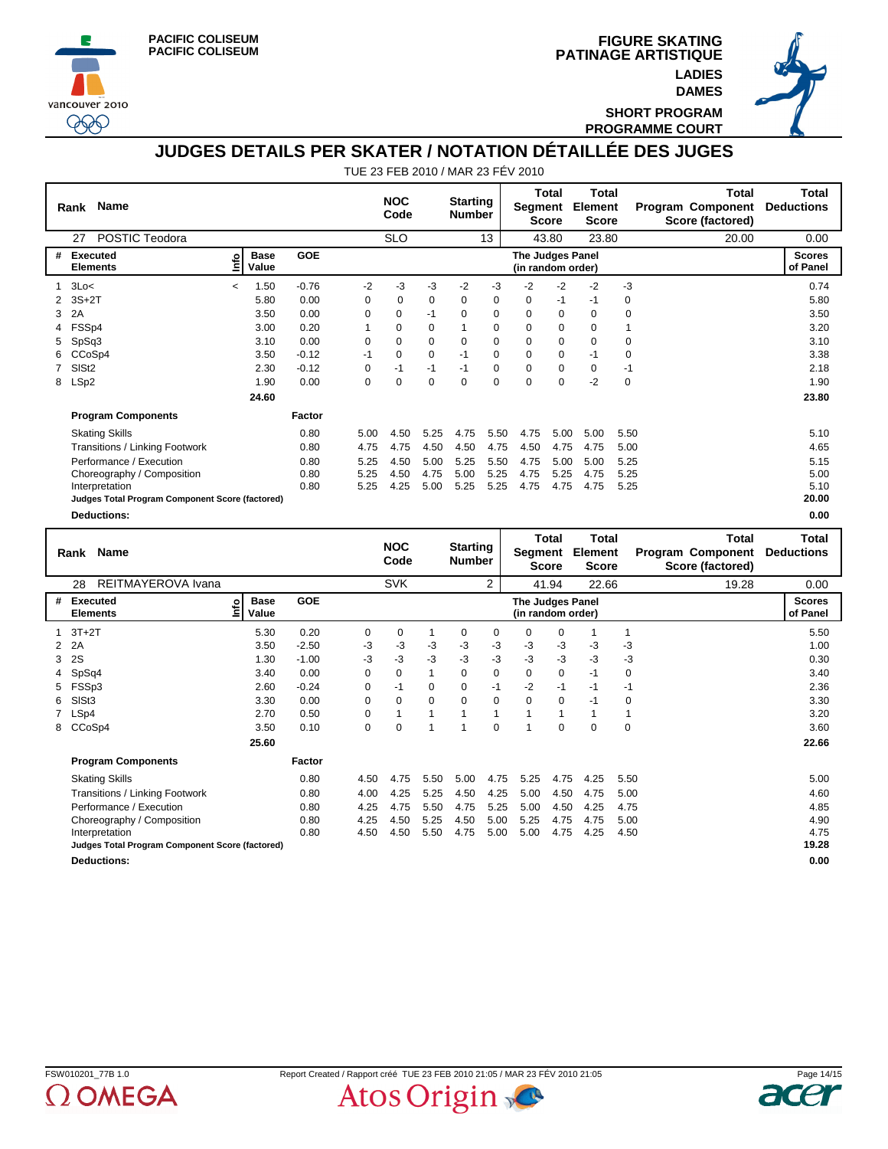





**SHORT PROGRAM PROGRAMME COURT**

## **JUDGES DETAILS PER SKATER / NOTATION DÉTAILLÉE DES JUGES**

|                      | Name<br>Rank                                    |                |                             |            |          | <b>NOC</b><br>Code |          | <b>Starting</b><br><b>Number</b>      |                                | Segment                 | Total<br><b>Score</b> | Total<br><b>Element</b><br><b>Score</b> |      | Total<br><b>Program Component</b><br>Score (factored) | <b>Total</b><br><b>Deductions</b> |
|----------------------|-------------------------------------------------|----------------|-----------------------------|------------|----------|--------------------|----------|---------------------------------------|--------------------------------|-------------------------|-----------------------|-----------------------------------------|------|-------------------------------------------------------|-----------------------------------|
| POSTIC Teodora<br>27 |                                                 |                |                             |            |          | <b>SLO</b>         |          | 13                                    |                                | 43.80                   |                       | 23.80                                   |      | 20.00                                                 | 0.00                              |
| #                    | Executed<br><b>Elements</b>                     | ۴d             | <b>Base</b><br>Value        | <b>GOE</b> |          |                    |          | The Judges Panel<br>(in random order) |                                |                         |                       |                                         |      |                                                       | <b>Scores</b><br>of Panel         |
| 1                    | 3Lo<                                            | $\overline{a}$ | 1.50                        | $-0.76$    | $-2$     | -3                 | -3       | -2                                    | -3                             | -2                      | $-2$                  | -2                                      | $-3$ |                                                       | 0.74                              |
|                      | $3S+2T$                                         |                | 5.80                        | 0.00       | 0        | 0                  | 0        | 0                                     | $\mathbf 0$                    | $\mathbf 0$             | $-1$                  | -1                                      | 0    |                                                       | 5.80                              |
| 3                    | 2A                                              |                | 3.50                        | 0.00       | $\Omega$ | 0                  | $-1$     | $\Omega$                              | $\mathbf 0$                    | $\Omega$                | $\Omega$              | $\Omega$                                | 0    |                                                       | 3.50                              |
|                      | FSSp4                                           |                | 3.00                        | 0.20       |          | 0                  | $\Omega$ |                                       | $\Omega$                       | 0                       | 0                     | $\Omega$                                |      |                                                       | 3.20                              |
| 5                    | SpSq3                                           |                | 3.10                        | 0.00       | $\Omega$ | $\Omega$           | $\Omega$ | $\Omega$                              | $\Omega$                       | $\Omega$                | $\Omega$              | $\Omega$                                | 0    |                                                       | 3.10                              |
| 6                    | CCoSp4                                          |                | 3.50                        | $-0.12$    | $-1$     | $\Omega$           | $\Omega$ | $-1$                                  | $\Omega$                       | $\Omega$                | $\Omega$              | $-1$                                    | 0    |                                                       | 3.38                              |
|                      | SIS <sub>t2</sub>                               |                | 2.30                        | $-0.12$    | 0        | $-1$               | $-1$     | $-1$                                  | 0                              | 0                       | 0                     | 0                                       | $-1$ |                                                       | 2.18                              |
| 8                    | LSp2                                            |                | 1.90                        | 0.00       | 0        | $\Omega$           | $\Omega$ | $\Omega$                              | $\mathbf 0$                    | $\Omega$                | $\mathbf 0$           | $-2$                                    | 0    |                                                       | 1.90                              |
|                      |                                                 |                | 24.60                       |            |          |                    |          |                                       |                                |                         |                       |                                         |      |                                                       | 23.80                             |
|                      | <b>Program Components</b>                       |                |                             | Factor     |          |                    |          |                                       |                                |                         |                       |                                         |      |                                                       |                                   |
|                      | <b>Skating Skills</b>                           |                |                             | 0.80       | 5.00     | 4.50               | 5.25     | 4.75                                  | 5.50                           | 4.75                    | 5.00                  | 5.00                                    | 5.50 |                                                       | 5.10                              |
|                      | Transitions / Linking Footwork                  |                |                             | 0.80       | 4.75     | 4.75               | 4.50     | 4.50                                  | 4.75                           | 4.50                    | 4.75                  | 4.75                                    | 5.00 |                                                       | 4.65                              |
|                      | Performance / Execution                         |                |                             | 0.80       | 5.25     | 4.50               | 5.00     | 5.25                                  | 5.50                           | 4.75                    | 5.00                  | 5.00                                    | 5.25 |                                                       | 5.15                              |
|                      | Choreography / Composition                      |                |                             | 0.80       | 5.25     | 4.50               | 4.75     | 5.00                                  | 5.25                           | 4.75                    | 5.25                  | 4.75                                    | 5.25 |                                                       | 5.00                              |
|                      | Interpretation                                  |                |                             | 0.80       | 5.25     | 4.25               | 5.00     | 5.25                                  | 5.25                           | 4.75                    | 4.75                  | 4.75                                    | 5.25 |                                                       | 5.10                              |
|                      | Judges Total Program Component Score (factored) |                |                             |            |          |                    |          |                                       |                                |                         |                       |                                         |      |                                                       | 20.00                             |
|                      | <b>Deductions:</b>                              |                |                             |            |          |                    |          |                                       |                                |                         |                       |                                         |      |                                                       | 0.00                              |
|                      | <b>Name</b><br>Rank                             |                |                             |            |          | <b>NOC</b>         |          | <b>Starting</b>                       |                                | <b>Total</b><br>Segment |                       | <b>Total</b><br>Element                 |      | <b>Total</b><br><b>Program Component</b>              | Total<br><b>Deductions</b>        |
|                      |                                                 |                |                             |            |          | Code               |          | <b>Number</b>                         |                                | <b>Score</b>            |                       | <b>Score</b>                            |      | Score (factored)                                      |                                   |
|                      | REITMAYEROVA Ivana<br>28                        |                |                             |            |          | <b>SVK</b>         |          |                                       | 2                              | 41.94                   |                       | 22.66                                   |      | 19.28                                                 | 0.00                              |
| #                    | Executed<br>Elements                            | ۰<br>⊭         | <b>Base</b><br>$11 - 1 - 1$ | GOE        |          |                    |          |                                       | <b>Scores</b><br><b>EDAMAL</b> |                         |                       |                                         |      |                                                       |                                   |

|              | 28<br>REITMAYEROVA Ivana                        |                                     |            |                                       | <b>SVK</b> |             |          | 2           |          | 41.94       | 22.66 |             | 19.28 | 0.00                      |
|--------------|-------------------------------------------------|-------------------------------------|------------|---------------------------------------|------------|-------------|----------|-------------|----------|-------------|-------|-------------|-------|---------------------------|
| #            | Executed<br><b>Elements</b>                     | <b>Base</b><br><u>lnfo</u><br>Value | <b>GOE</b> | The Judges Panel<br>(in random order) |            |             |          |             |          |             |       |             |       | <b>Scores</b><br>of Panel |
|              | $3T+2T$                                         | 5.30                                | 0.20       | 0                                     | $\Omega$   |             | $\Omega$ | $\mathbf 0$ | $\Omega$ | 0           |       |             |       | 5.50                      |
| $\mathbf{2}$ | 2A                                              | 3.50                                | $-2.50$    | -3                                    | $-3$       | -3          | $-3$     | $-3$        | $-3$     | $-3$        | -3    | $-3$        |       | 1.00                      |
| 3            | 2S                                              | 1.30                                | $-1.00$    | -3                                    | -3         | -3          | -3       | $-3$        | $-3$     | $-3$        | -3    | -3          |       | 0.30                      |
| 4            | SpSq4                                           | 3.40                                | 0.00       | 0                                     | 0          |             | $\Omega$ | $\mathbf 0$ | $\Omega$ | 0           | $-1$  | 0           |       | 3.40                      |
| 5            | FSSp3                                           | 2.60                                | $-0.24$    | 0                                     | -1         | $\mathbf 0$ | 0        | $-1$        | $-2$     | $-1$        | $-1$  | -1          |       | 2.36                      |
| 6.           | SISt <sub>3</sub>                               | 3.30                                | 0.00       | $\mathbf 0$                           | $\Omega$   | $\mathbf 0$ | $\Omega$ | 0           | $\Omega$ | $\Omega$    | $-1$  | $\mathbf 0$ |       | 3.30                      |
|              | LSp4                                            | 2.70                                | 0.50       | 0                                     |            |             |          | 1           |          |             |       |             |       | 3.20                      |
| 8            | CCoSp4                                          | 3.50                                | 0.10       | 0                                     | $\Omega$   |             |          | $\Omega$    |          | $\mathbf 0$ | 0     | $\mathbf 0$ |       | 3.60                      |
|              |                                                 | 25.60                               |            |                                       |            |             |          |             |          |             |       |             |       | 22.66                     |
|              | <b>Program Components</b>                       |                                     | Factor     |                                       |            |             |          |             |          |             |       |             |       |                           |
|              | <b>Skating Skills</b>                           |                                     | 0.80       | 4.50                                  | 4.75       | 5.50        | 5.00     | 4.75        | 5.25     | 4.75        | 4.25  | 5.50        |       | 5.00                      |
|              | Transitions / Linking Footwork                  |                                     | 0.80       | 4.00                                  | 4.25       | 5.25        | 4.50     | 4.25        | 5.00     | 4.50        | 4.75  | 5.00        |       | 4.60                      |
|              | Performance / Execution                         |                                     | 0.80       | 4.25                                  | 4.75       | 5.50        | 4.75     | 5.25        | 5.00     | 4.50        | 4.25  | 4.75        |       | 4.85                      |
|              | Choreography / Composition                      |                                     | 0.80       | 4.25                                  | 4.50       | 5.25        | 4.50     | 5.00        | 5.25     | 4.75        | 4.75  | 5.00        |       | 4.90                      |
|              | Interpretation                                  |                                     | 0.80       | 4.50                                  | 4.50       | 5.50        | 4.75     | 5.00        | 5.00     | 4.75        | 4.25  | 4.50        |       | 4.75                      |
|              | Judges Total Program Component Score (factored) |                                     |            |                                       |            |             |          |             |          |             |       |             |       | 19.28                     |
|              | <b>Deductions:</b>                              |                                     |            |                                       |            |             |          |             |          |             |       |             |       | 0.00                      |